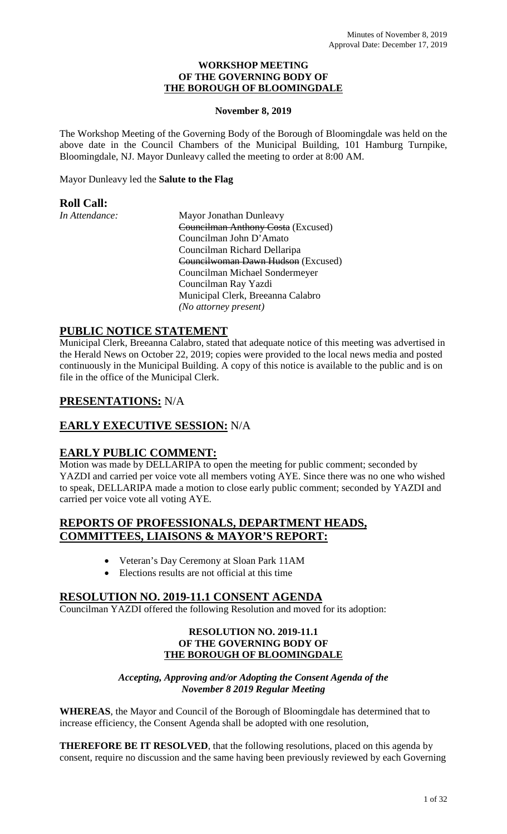#### **WORKSHOP MEETING OF THE GOVERNING BODY OF THE BOROUGH OF BLOOMINGDALE**

### **November 8, 2019**

The Workshop Meeting of the Governing Body of the Borough of Bloomingdale was held on the above date in the Council Chambers of the Municipal Building, 101 Hamburg Turnpike, Bloomingdale, NJ. Mayor Dunleavy called the meeting to order at 8:00 AM.

# Mayor Dunleavy led the **Salute to the Flag**

# **Roll Call:**

*In Attendance:* Mayor Jonathan Dunleavy Councilman Anthony Costa (Excused) Councilman John D'Amato Councilman Richard Dellaripa Councilwoman Dawn Hudson (Excused) Councilman Michael Sondermeyer Councilman Ray Yazdi Municipal Clerk, Breeanna Calabro *(No attorney present)*

# **PUBLIC NOTICE STATEMENT**

Municipal Clerk, Breeanna Calabro, stated that adequate notice of this meeting was advertised in the Herald News on October 22, 2019; copies were provided to the local news media and posted continuously in the Municipal Building. A copy of this notice is available to the public and is on file in the office of the Municipal Clerk.

# **PRESENTATIONS:** N/A

# **EARLY EXECUTIVE SESSION:** N/A

# **EARLY PUBLIC COMMENT:**

Motion was made by DELLARIPA to open the meeting for public comment; seconded by YAZDI and carried per voice vote all members voting AYE. Since there was no one who wished to speak, DELLARIPA made a motion to close early public comment; seconded by YAZDI and carried per voice vote all voting AYE.

# **REPORTS OF PROFESSIONALS, DEPARTMENT HEADS, COMMITTEES, LIAISONS & MAYOR'S REPORT:**

- Veteran's Day Ceremony at Sloan Park 11AM
- Elections results are not official at this time

# **RESOLUTION NO. 2019-11.1 CONSENT AGENDA**

Councilman YAZDI offered the following Resolution and moved for its adoption:

#### **RESOLUTION NO. 2019-11.1 OF THE GOVERNING BODY OF THE BOROUGH OF BLOOMINGDALE**

## *Accepting, Approving and/or Adopting the Consent Agenda of the November 8 2019 Regular Meeting*

**WHEREAS**, the Mayor and Council of the Borough of Bloomingdale has determined that to increase efficiency, the Consent Agenda shall be adopted with one resolution,

**THEREFORE BE IT RESOLVED**, that the following resolutions, placed on this agenda by consent, require no discussion and the same having been previously reviewed by each Governing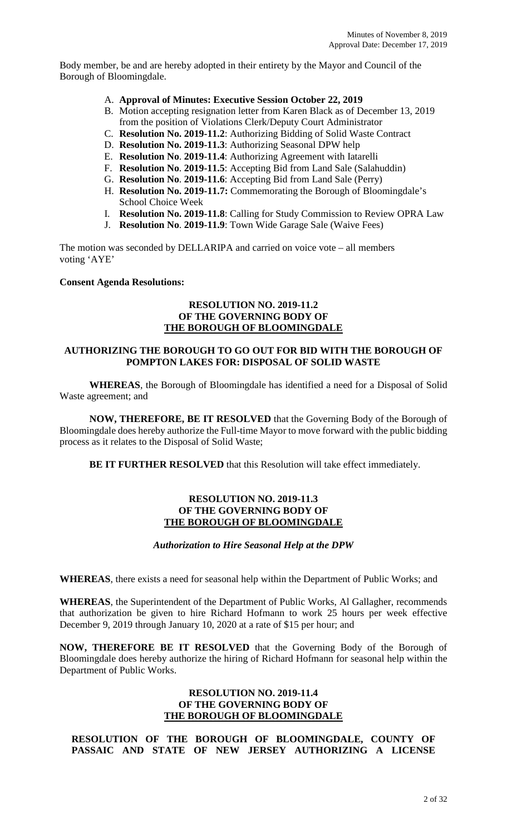Body member, be and are hereby adopted in their entirety by the Mayor and Council of the Borough of Bloomingdale.

- A. **Approval of Minutes: Executive Session October 22, 2019**
- B. Motion accepting resignation letter from Karen Black as of December 13, 2019 from the position of Violations Clerk/Deputy Court Administrator
- C. **Resolution No. 2019-11.2**: Authorizing Bidding of Solid Waste Contract
- D. **Resolution No. 2019-11.3**: Authorizing Seasonal DPW help
- E. **Resolution No**. **2019-11.4**: Authorizing Agreement with Iatarelli
- F. **Resolution No**. **2019-11.5**: Accepting Bid from Land Sale (Salahuddin)
- G. **Resolution No**. **2019-11.6**: Accepting Bid from Land Sale (Perry)
- H. **Resolution No. 2019-11.7:** Commemorating the Borough of Bloomingdale's School Choice Week
- I. **Resolution No. 2019-11.8**: Calling for Study Commission to Review OPRA Law
- J. **Resolution No**. **2019-11.9**: Town Wide Garage Sale (Waive Fees)

The motion was seconded by DELLARIPA and carried on voice vote – all members voting 'AYE'

## **Consent Agenda Resolutions:**

#### **RESOLUTION NO. 2019-11.2 OF THE GOVERNING BODY OF THE BOROUGH OF BLOOMINGDALE**

### **AUTHORIZING THE BOROUGH TO GO OUT FOR BID WITH THE BOROUGH OF POMPTON LAKES FOR: DISPOSAL OF SOLID WASTE**

**WHEREAS**, the Borough of Bloomingdale has identified a need for a Disposal of Solid Waste agreement; and

**NOW, THEREFORE, BE IT RESOLVED** that the Governing Body of the Borough of Bloomingdale does hereby authorize the Full-time Mayor to move forward with the public bidding process as it relates to the Disposal of Solid Waste;

**BE IT FURTHER RESOLVED** that this Resolution will take effect immediately.

#### **RESOLUTION NO. 2019-11.3 OF THE GOVERNING BODY OF THE BOROUGH OF BLOOMINGDALE**

### *Authorization to Hire Seasonal Help at the DPW*

**WHEREAS**, there exists a need for seasonal help within the Department of Public Works; and

**WHEREAS**, the Superintendent of the Department of Public Works, Al Gallagher, recommends that authorization be given to hire Richard Hofmann to work 25 hours per week effective December 9, 2019 through January 10, 2020 at a rate of \$15 per hour; and

**NOW, THEREFORE BE IT RESOLVED** that the Governing Body of the Borough of Bloomingdale does hereby authorize the hiring of Richard Hofmann for seasonal help within the Department of Public Works.

### **RESOLUTION NO. 2019-11.4 OF THE GOVERNING BODY OF THE BOROUGH OF BLOOMINGDALE**

**RESOLUTION OF THE BOROUGH OF BLOOMINGDALE, COUNTY OF PASSAIC AND STATE OF NEW JERSEY AUTHORIZING A LICENSE**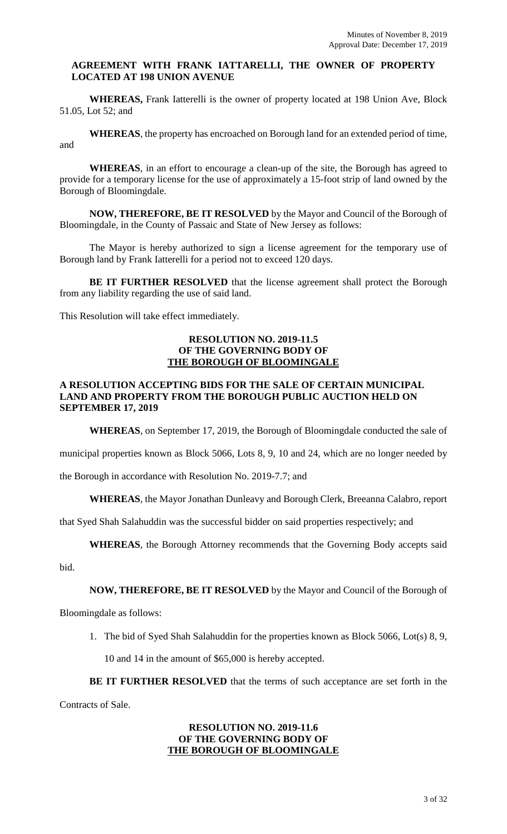#### **AGREEMENT WITH FRANK IATTARELLI, THE OWNER OF PROPERTY LOCATED AT 198 UNION AVENUE**

**WHEREAS,** Frank Iatterelli is the owner of property located at 198 Union Ave, Block 51.05, Lot 52; and

**WHEREAS**, the property has encroached on Borough land for an extended period of time, and

**WHEREAS**, in an effort to encourage a clean-up of the site, the Borough has agreed to provide for a temporary license for the use of approximately a 15-foot strip of land owned by the Borough of Bloomingdale.

**NOW, THEREFORE, BE IT RESOLVED** by the Mayor and Council of the Borough of Bloomingdale, in the County of Passaic and State of New Jersey as follows:

The Mayor is hereby authorized to sign a license agreement for the temporary use of Borough land by Frank Iatterelli for a period not to exceed 120 days.

**BE IT FURTHER RESOLVED** that the license agreement shall protect the Borough from any liability regarding the use of said land.

This Resolution will take effect immediately.

### **RESOLUTION NO. 2019-11.5 OF THE GOVERNING BODY OF THE BOROUGH OF BLOOMINGALE**

### **A RESOLUTION ACCEPTING BIDS FOR THE SALE OF CERTAIN MUNICIPAL LAND AND PROPERTY FROM THE BOROUGH PUBLIC AUCTION HELD ON SEPTEMBER 17, 2019**

**WHEREAS**, on September 17, 2019, the Borough of Bloomingdale conducted the sale of

municipal properties known as Block 5066, Lots 8, 9, 10 and 24, which are no longer needed by

the Borough in accordance with Resolution No. 2019-7.7; and

**WHEREAS**, the Mayor Jonathan Dunleavy and Borough Clerk, Breeanna Calabro, report

that Syed Shah Salahuddin was the successful bidder on said properties respectively; and

**WHEREAS**, the Borough Attorney recommends that the Governing Body accepts said

bid.

### **NOW, THEREFORE, BE IT RESOLVED** by the Mayor and Council of the Borough of

Bloomingdale as follows:

1. The bid of Syed Shah Salahuddin for the properties known as Block 5066, Lot(s) 8, 9,

10 and 14 in the amount of \$65,000 is hereby accepted.

**BE IT FURTHER RESOLVED** that the terms of such acceptance are set forth in the

Contracts of Sale.

### **RESOLUTION NO. 2019-11.6 OF THE GOVERNING BODY OF THE BOROUGH OF BLOOMINGALE**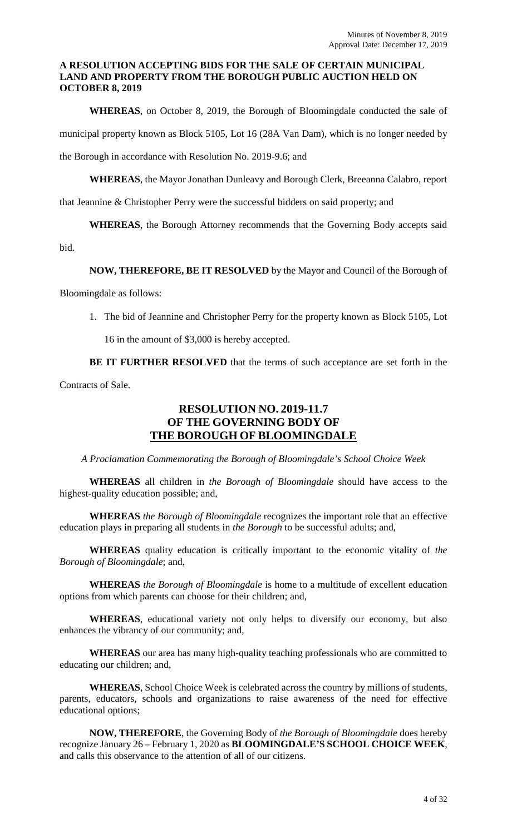### **A RESOLUTION ACCEPTING BIDS FOR THE SALE OF CERTAIN MUNICIPAL LAND AND PROPERTY FROM THE BOROUGH PUBLIC AUCTION HELD ON OCTOBER 8, 2019**

**WHEREAS**, on October 8, 2019, the Borough of Bloomingdale conducted the sale of municipal property known as Block 5105, Lot 16 (28A Van Dam), which is no longer needed by the Borough in accordance with Resolution No. 2019-9.6; and

**WHEREAS**, the Mayor Jonathan Dunleavy and Borough Clerk, Breeanna Calabro, report

that Jeannine & Christopher Perry were the successful bidders on said property; and

**WHEREAS**, the Borough Attorney recommends that the Governing Body accepts said

bid.

## **NOW, THEREFORE, BE IT RESOLVED** by the Mayor and Council of the Borough of

Bloomingdale as follows:

1. The bid of Jeannine and Christopher Perry for the property known as Block 5105, Lot

16 in the amount of \$3,000 is hereby accepted.

**BE IT FURTHER RESOLVED** that the terms of such acceptance are set forth in the

Contracts of Sale.

# **RESOLUTION NO. 2019-11.7 OF THE GOVERNING BODY OF THE BOROUGH OF BLOOMINGDALE**

*A Proclamation Commemorating the Borough of Bloomingdale's School Choice Week*

**WHEREAS** all children in *the Borough of Bloomingdale* should have access to the highest-quality education possible; and,

**WHEREAS** *the Borough of Bloomingdale* recognizes the important role that an effective education plays in preparing all students in *the Borough* to be successful adults; and,

**WHEREAS** quality education is critically important to the economic vitality of *the Borough of Bloomingdale*; and,

**WHEREAS** *the Borough of Bloomingdale* is home to a multitude of excellent education options from which parents can choose for their children; and,

**WHEREAS**, educational variety not only helps to diversify our economy, but also enhances the vibrancy of our community; and,

**WHEREAS** our area has many high-quality teaching professionals who are committed to educating our children; and,

**WHEREAS**, School Choice Week is celebrated across the country by millions of students, parents, educators, schools and organizations to raise awareness of the need for effective educational options;

**NOW, THEREFORE**, the Governing Body of *the Borough of Bloomingdale* does hereby recognize January 26 – February 1, 2020 as **BLOOMINGDALE'S SCHOOL CHOICE WEEK**, and calls this observance to the attention of all of our citizens.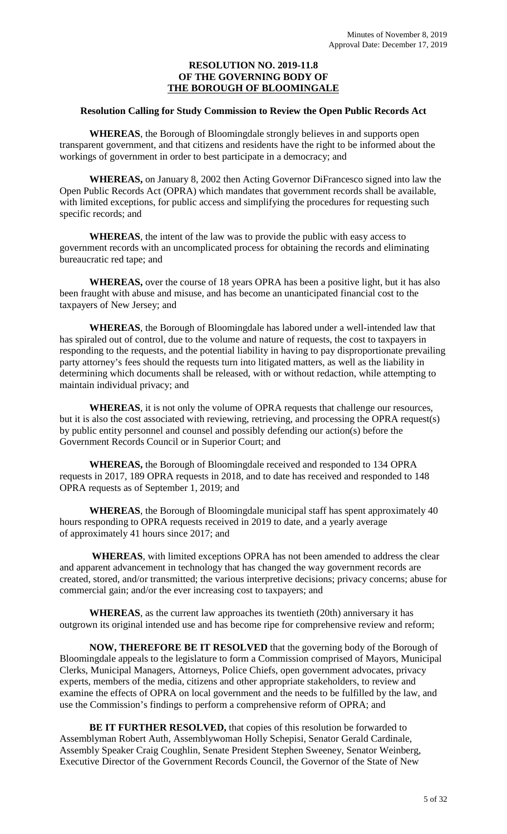### **RESOLUTION NO. 2019-11.8 OF THE GOVERNING BODY OF THE BOROUGH OF BLOOMINGALE**

#### **Resolution Calling for Study Commission to Review the Open Public Records Act**

**WHEREAS**, the Borough of Bloomingdale strongly believes in and supports open transparent government, and that citizens and residents have the right to be informed about the workings of government in order to best participate in a democracy; and

**WHEREAS,** on January 8, 2002 then Acting Governor DiFrancesco signed into law the Open Public Records Act (OPRA) which mandates that government records shall be available, with limited exceptions, for public access and simplifying the procedures for requesting such specific records; and

**WHEREAS**, the intent of the law was to provide the public with easy access to government records with an uncomplicated process for obtaining the records and eliminating bureaucratic red tape; and

**WHEREAS,** over the course of 18 years OPRA has been a positive light, but it has also been fraught with abuse and misuse, and has become an unanticipated financial cost to the taxpayers of New Jersey; and

**WHEREAS**, the Borough of Bloomingdale has labored under a well-intended law that has spiraled out of control, due to the volume and nature of requests, the cost to taxpayers in responding to the requests, and the potential liability in having to pay disproportionate prevailing party attorney's fees should the requests turn into litigated matters, as well as the liability in determining which documents shall be released, with or without redaction, while attempting to maintain individual privacy; and

**WHEREAS**, it is not only the volume of OPRA requests that challenge our resources, but it is also the cost associated with reviewing, retrieving, and processing the OPRA request(s) by public entity personnel and counsel and possibly defending our action(s) before the Government Records Council or in Superior Court; and

**WHEREAS,** the Borough of Bloomingdale received and responded to 134 OPRA requests in 2017, 189 OPRA requests in 2018, and to date has received and responded to 148 OPRA requests as of September 1, 2019; and

**WHEREAS**, the Borough of Bloomingdale municipal staff has spent approximately 40 hours responding to OPRA requests received in 2019 to date, and a yearly average of approximately 41 hours since 2017; and

**WHEREAS**, with limited exceptions OPRA has not been amended to address the clear and apparent advancement in technology that has changed the way government records are created, stored, and/or transmitted; the various interpretive decisions; privacy concerns; abuse for commercial gain; and/or the ever increasing cost to taxpayers; and

**WHEREAS**, as the current law approaches its twentieth (20th) anniversary it has outgrown its original intended use and has become ripe for comprehensive review and reform;

**NOW, THEREFORE BE IT RESOLVED** that the governing body of the Borough of Bloomingdale appeals to the legislature to form a Commission comprised of Mayors, Municipal Clerks, Municipal Managers, Attorneys, Police Chiefs, open government advocates, privacy experts, members of the media, citizens and other appropriate stakeholders, to review and examine the effects of OPRA on local government and the needs to be fulfilled by the law, and use the Commission's findings to perform a comprehensive reform of OPRA; and

**BE IT FURTHER RESOLVED, that copies of this resolution be forwarded to** Assemblyman Robert Auth, Assemblywoman Holly Schepisi, Senator Gerald Cardinale, Assembly Speaker Craig Coughlin, Senate President Stephen Sweeney, Senator Weinberg, Executive Director of the Government Records Council, the Governor of the State of New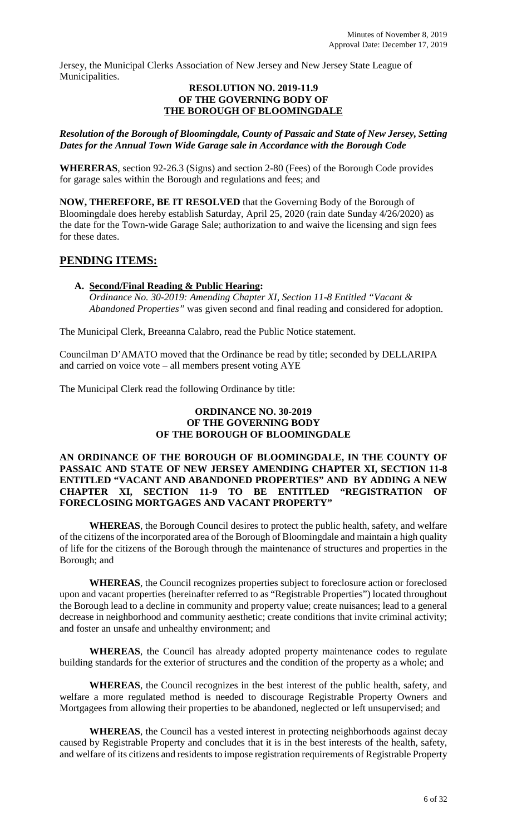Jersey, the Municipal Clerks Association of New Jersey and New Jersey State League of Municipalities.

#### **RESOLUTION NO. 2019-11.9 OF THE GOVERNING BODY OF THE BOROUGH OF BLOOMINGDALE**

*Resolution of the Borough of Bloomingdale, County of Passaic and State of New Jersey, Setting Dates for the Annual Town Wide Garage sale in Accordance with the Borough Code*

**WHERERAS**, section 92-26.3 (Signs) and section 2-80 (Fees) of the Borough Code provides for garage sales within the Borough and regulations and fees; and

**NOW, THEREFORE, BE IT RESOLVED** that the Governing Body of the Borough of Bloomingdale does hereby establish Saturday, April 25, 2020 (rain date Sunday 4/26/2020) as the date for the Town-wide Garage Sale; authorization to and waive the licensing and sign fees for these dates.

# **PENDING ITEMS:**

**A. Second/Final Reading & Public Hearing:** *Ordinance No. 30-2019: Amending Chapter XI, Section 11-8 Entitled "Vacant & Abandoned Properties"* was given second and final reading and considered for adoption.

The Municipal Clerk, Breeanna Calabro, read the Public Notice statement.

Councilman D'AMATO moved that the Ordinance be read by title; seconded by DELLARIPA and carried on voice vote – all members present voting AYE

The Municipal Clerk read the following Ordinance by title:

## **ORDINANCE NO. 30-2019 OF THE GOVERNING BODY OF THE BOROUGH OF BLOOMINGDALE**

#### **AN ORDINANCE OF THE BOROUGH OF BLOOMINGDALE, IN THE COUNTY OF PASSAIC AND STATE OF NEW JERSEY AMENDING CHAPTER XI, SECTION 11-8 ENTITLED "VACANT AND ABANDONED PROPERTIES" AND BY ADDING A NEW CHAPTER XI, SECTION 11-9 TO BE ENTITLED "REGISTRATION OF FORECLOSING MORTGAGES AND VACANT PROPERTY"**

**WHEREAS**, the Borough Council desires to protect the public health, safety, and welfare of the citizens of the incorporated area of the Borough of Bloomingdale and maintain a high quality of life for the citizens of the Borough through the maintenance of structures and properties in the Borough; and

**WHEREAS**, the Council recognizes properties subject to foreclosure action or foreclosed upon and vacant properties (hereinafter referred to as "Registrable Properties") located throughout the Borough lead to a decline in community and property value; create nuisances; lead to a general decrease in neighborhood and community aesthetic; create conditions that invite criminal activity; and foster an unsafe and unhealthy environment; and

**WHEREAS**, the Council has already adopted property maintenance codes to regulate building standards for the exterior of structures and the condition of the property as a whole; and

**WHEREAS**, the Council recognizes in the best interest of the public health, safety, and welfare a more regulated method is needed to discourage Registrable Property Owners and Mortgagees from allowing their properties to be abandoned, neglected or left unsupervised; and

**WHEREAS**, the Council has a vested interest in protecting neighborhoods against decay caused by Registrable Property and concludes that it is in the best interests of the health, safety, and welfare of its citizens and residents to impose registration requirements of Registrable Property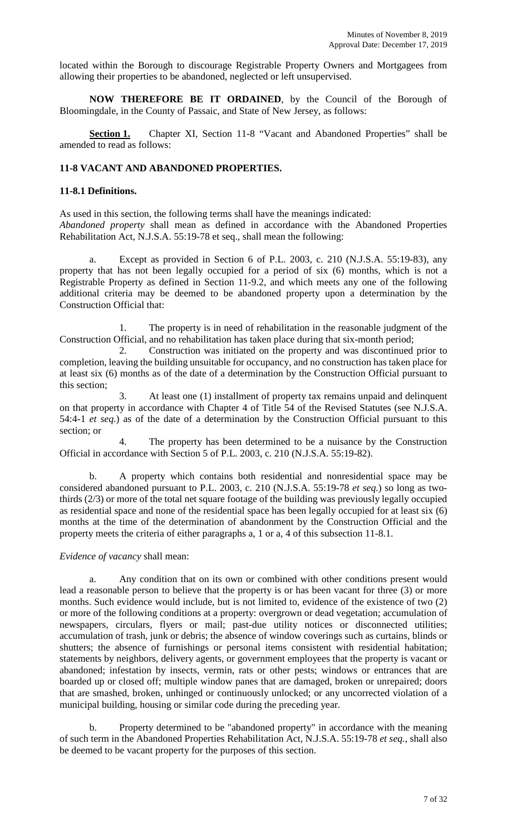located within the Borough to discourage Registrable Property Owners and Mortgagees from allowing their properties to be abandoned, neglected or left unsupervised.

**NOW THEREFORE BE IT ORDAINED**, by the Council of the Borough of Bloomingdale, in the County of Passaic, and State of New Jersey, as follows:

Section 1. Chapter XI, Section 11-8 "Vacant and Abandoned Properties" shall be amended to read as follows:

# **11-8 VACANT AND ABANDONED PROPERTIES.**

#### **11-8.1 Definitions.**

As used in this section, the following terms shall have the meanings indicated: *Abandoned property* shall mean as defined in accordance with the Abandoned Properties Rehabilitation Act, N.J.S.A. 55:19-78 et seq., shall mean the following:

a. Except as provided in Section 6 of P.L. 2003, c. 210 (N.J.S.A. 55:19-83), any property that has not been legally occupied for a period of six (6) months, which is not a Registrable Property as defined in Section 11-9.2, and which meets any one of the following additional criteria may be deemed to be abandoned property upon a determination by the Construction Official that:

1. The property is in need of rehabilitation in the reasonable judgment of the Construction Official, and no rehabilitation has taken place during that six-month period;

2. Construction was initiated on the property and was discontinued prior to completion, leaving the building unsuitable for occupancy, and no construction has taken place for at least six (6) months as of the date of a determination by the Construction Official pursuant to this section;

3. At least one (1) installment of property tax remains unpaid and delinquent on that property in accordance with Chapter 4 of Title 54 of the Revised Statutes (see N.J.S.A. 54:4-1 *et seq.*) as of the date of a determination by the Construction Official pursuant to this section; or

The property has been determined to be a nuisance by the Construction Official in accordance with Section 5 of P.L. 2003, c. 210 (N.J.S.A. 55:19-82).

b. A property which contains both residential and nonresidential space may be considered abandoned pursuant to P.L. 2003, c. 210 (N.J.S.A. 55:19-78 *et seq.*) so long as twothirds (2/3) or more of the total net square footage of the building was previously legally occupied as residential space and none of the residential space has been legally occupied for at least six (6) months at the time of the determination of abandonment by the Construction Official and the property meets the criteria of either paragraphs a, 1 or a, 4 of this subsection 11-8.1.

#### *Evidence of vacancy* shall mean:

a. Any condition that on its own or combined with other conditions present would lead a reasonable person to believe that the property is or has been vacant for three (3) or more months. Such evidence would include, but is not limited to, evidence of the existence of two (2) or more of the following conditions at a property: overgrown or dead vegetation; accumulation of newspapers, circulars, flyers or mail; past-due utility notices or disconnected utilities; accumulation of trash, junk or debris; the absence of window coverings such as curtains, blinds or shutters; the absence of furnishings or personal items consistent with residential habitation; statements by neighbors, delivery agents, or government employees that the property is vacant or abandoned; infestation by insects, vermin, rats or other pests; windows or entrances that are boarded up or closed off; multiple window panes that are damaged, broken or unrepaired; doors that are smashed, broken, unhinged or continuously unlocked; or any uncorrected violation of a municipal building, housing or similar code during the preceding year.

b. Property determined to be "abandoned property" in accordance with the meaning of such term in the Abandoned Properties Rehabilitation Act, N.J.S.A. 55:19-78 *et seq.*, shall also be deemed to be vacant property for the purposes of this section.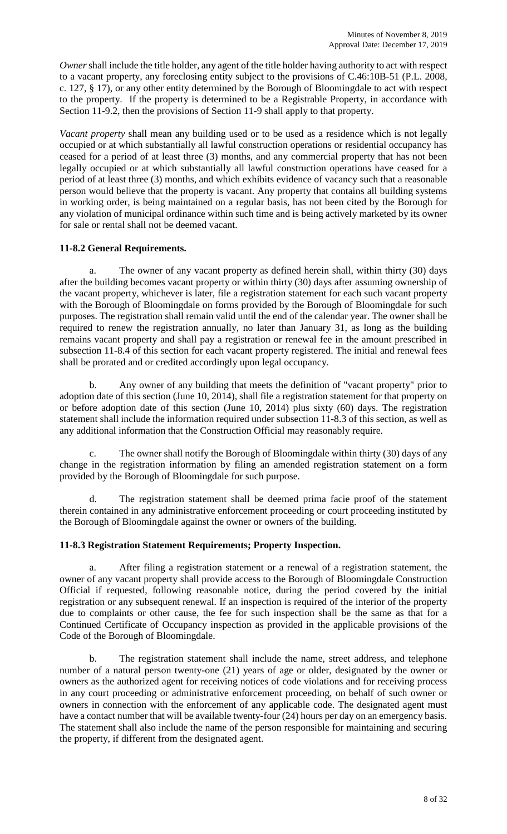*Owner*shall include the title holder, any agent of the title holder having authority to act with respect to a vacant property, any foreclosing entity subject to the provisions of C.46:10B-51 (P.L. 2008, c. 127, § 17), or any other entity determined by the Borough of Bloomingdale to act with respect to the property. If the property is determined to be a Registrable Property, in accordance with Section 11-9.2, then the provisions of Section 11-9 shall apply to that property.

*Vacant property* shall mean any building used or to be used as a residence which is not legally occupied or at which substantially all lawful construction operations or residential occupancy has ceased for a period of at least three (3) months, and any commercial property that has not been legally occupied or at which substantially all lawful construction operations have ceased for a period of at least three (3) months, and which exhibits evidence of vacancy such that a reasonable person would believe that the property is vacant. Any property that contains all building systems in working order, is being maintained on a regular basis, has not been cited by the Borough for any violation of municipal ordinance within such time and is being actively marketed by its owner for sale or rental shall not be deemed vacant.

## **11-8.2 General Requirements.**

a. The owner of any vacant property as defined herein shall, within thirty (30) days after the building becomes vacant property or within thirty (30) days after assuming ownership of the vacant property, whichever is later, file a registration statement for each such vacant property with the Borough of Bloomingdale on forms provided by the Borough of Bloomingdale for such purposes. The registration shall remain valid until the end of the calendar year. The owner shall be required to renew the registration annually, no later than January 31, as long as the building remains vacant property and shall pay a registration or renewal fee in the amount prescribed in subsection 11-8.4 of this section for each vacant property registered. The initial and renewal fees shall be prorated and or credited accordingly upon legal occupancy.

b. Any owner of any building that meets the definition of "vacant property" prior to adoption date of this section (June 10, 2014), shall file a registration statement for that property on or before adoption date of this section (June 10, 2014) plus sixty (60) days. The registration statement shall include the information required under subsection 11-8.3 of this section, as well as any additional information that the Construction Official may reasonably require.

c. The owner shall notify the Borough of Bloomingdale within thirty (30) days of any change in the registration information by filing an amended registration statement on a form provided by the Borough of Bloomingdale for such purpose.

d. The registration statement shall be deemed prima facie proof of the statement therein contained in any administrative enforcement proceeding or court proceeding instituted by the Borough of Bloomingdale against the owner or owners of the building.

### **11-8.3 Registration Statement Requirements; Property Inspection.**

a. After filing a registration statement or a renewal of a registration statement, the owner of any vacant property shall provide access to the Borough of Bloomingdale Construction Official if requested, following reasonable notice, during the period covered by the initial registration or any subsequent renewal. If an inspection is required of the interior of the property due to complaints or other cause, the fee for such inspection shall be the same as that for a Continued Certificate of Occupancy inspection as provided in the applicable provisions of the Code of the Borough of Bloomingdale.

b. The registration statement shall include the name, street address, and telephone number of a natural person twenty-one (21) years of age or older, designated by the owner or owners as the authorized agent for receiving notices of code violations and for receiving process in any court proceeding or administrative enforcement proceeding, on behalf of such owner or owners in connection with the enforcement of any applicable code. The designated agent must have a contact number that will be available twenty-four (24) hours per day on an emergency basis. The statement shall also include the name of the person responsible for maintaining and securing the property, if different from the designated agent.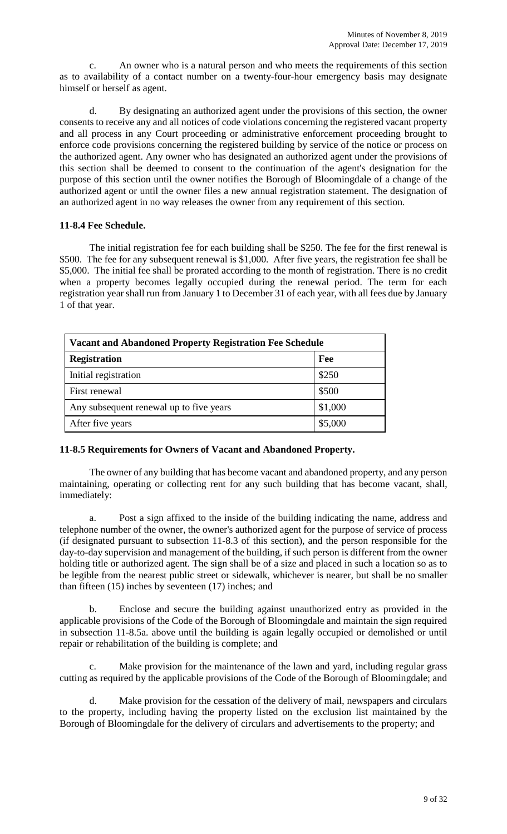c. An owner who is a natural person and who meets the requirements of this section as to availability of a contact number on a twenty-four-hour emergency basis may designate himself or herself as agent.

d. By designating an authorized agent under the provisions of this section, the owner consents to receive any and all notices of code violations concerning the registered vacant property and all process in any Court proceeding or administrative enforcement proceeding brought to enforce code provisions concerning the registered building by service of the notice or process on the authorized agent. Any owner who has designated an authorized agent under the provisions of this section shall be deemed to consent to the continuation of the agent's designation for the purpose of this section until the owner notifies the Borough of Bloomingdale of a change of the authorized agent or until the owner files a new annual registration statement. The designation of an authorized agent in no way releases the owner from any requirement of this section.

## **11-8.4 Fee Schedule.**

The initial registration fee for each building shall be \$250. The fee for the first renewal is \$500. The fee for any subsequent renewal is \$1,000. After five years, the registration fee shall be \$5,000. The initial fee shall be prorated according to the month of registration. There is no credit when a property becomes legally occupied during the renewal period. The term for each registration year shall run from January 1 to December 31 of each year, with all fees due by January 1 of that year.

| <b>Vacant and Abandoned Property Registration Fee Schedule</b> |         |  |  |  |  |
|----------------------------------------------------------------|---------|--|--|--|--|
| <b>Registration</b>                                            | Fee     |  |  |  |  |
| Initial registration                                           | \$250   |  |  |  |  |
| First renewal                                                  | \$500   |  |  |  |  |
| Any subsequent renewal up to five years                        | \$1,000 |  |  |  |  |
| After five years                                               | \$5,000 |  |  |  |  |

# **11-8.5 Requirements for Owners of Vacant and Abandoned Property.**

The owner of any building that has become vacant and abandoned property, and any person maintaining, operating or collecting rent for any such building that has become vacant, shall, immediately:

a. Post a sign affixed to the inside of the building indicating the name, address and telephone number of the owner, the owner's authorized agent for the purpose of service of process (if designated pursuant to subsection 11-8.3 of this section), and the person responsible for the day-to-day supervision and management of the building, if such person is different from the owner holding title or authorized agent. The sign shall be of a size and placed in such a location so as to be legible from the nearest public street or sidewalk, whichever is nearer, but shall be no smaller than fifteen (15) inches by seventeen (17) inches; and

b. Enclose and secure the building against unauthorized entry as provided in the applicable provisions of the Code of the Borough of Bloomingdale and maintain the sign required in subsection 11-8.5a. above until the building is again legally occupied or demolished or until repair or rehabilitation of the building is complete; and

Make provision for the maintenance of the lawn and yard, including regular grass cutting as required by the applicable provisions of the Code of the Borough of Bloomingdale; and

d. Make provision for the cessation of the delivery of mail, newspapers and circulars to the property, including having the property listed on the exclusion list maintained by the Borough of Bloomingdale for the delivery of circulars and advertisements to the property; and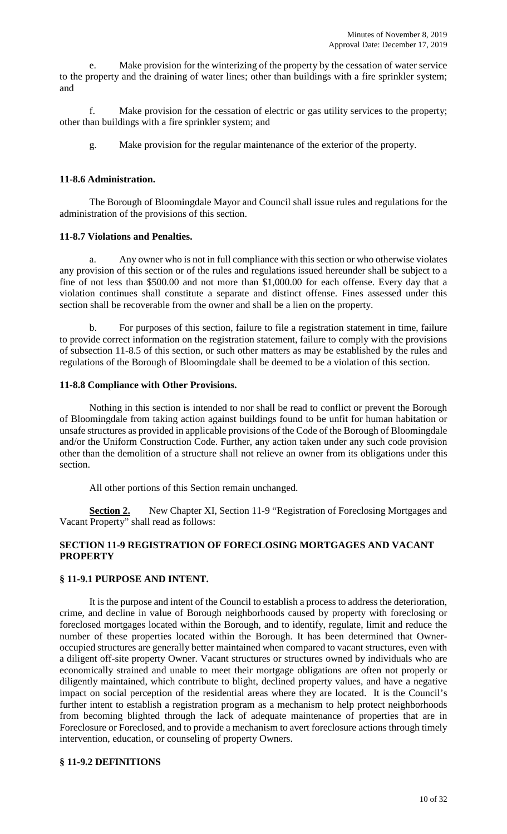e. Make provision for the winterizing of the property by the cessation of water service to the property and the draining of water lines; other than buildings with a fire sprinkler system; and

f. Make provision for the cessation of electric or gas utility services to the property; other than buildings with a fire sprinkler system; and

g. Make provision for the regular maintenance of the exterior of the property.

## **11-8.6 Administration.**

The Borough of Bloomingdale Mayor and Council shall issue rules and regulations for the administration of the provisions of this section.

### **11-8.7 Violations and Penalties.**

a. Any owner who is not in full compliance with this section or who otherwise violates any provision of this section or of the rules and regulations issued hereunder shall be subject to a fine of not less than \$500.00 and not more than \$1,000.00 for each offense. Every day that a violation continues shall constitute a separate and distinct offense. Fines assessed under this section shall be recoverable from the owner and shall be a lien on the property.

b. For purposes of this section, failure to file a registration statement in time, failure to provide correct information on the registration statement, failure to comply with the provisions of subsection 11-8.5 of this section, or such other matters as may be established by the rules and regulations of the Borough of Bloomingdale shall be deemed to be a violation of this section.

### **11-8.8 Compliance with Other Provisions.**

Nothing in this section is intended to nor shall be read to conflict or prevent the Borough of Bloomingdale from taking action against buildings found to be unfit for human habitation or unsafe structures as provided in applicable provisions of the Code of the Borough of Bloomingdale and/or the Uniform Construction Code. Further, any action taken under any such code provision other than the demolition of a structure shall not relieve an owner from its obligations under this section.

All other portions of this Section remain unchanged.

**Section 2.** New Chapter XI, Section 11-9 "Registration of Foreclosing Mortgages and Vacant Property" shall read as follows:

## **SECTION 11-9 REGISTRATION OF FORECLOSING MORTGAGES AND VACANT PROPERTY**

# **§ 11-9.1 PURPOSE AND INTENT.**

It is the purpose and intent of the Council to establish a process to address the deterioration, crime, and decline in value of Borough neighborhoods caused by property with foreclosing or foreclosed mortgages located within the Borough, and to identify, regulate, limit and reduce the number of these properties located within the Borough. It has been determined that Owneroccupied structures are generally better maintained when compared to vacant structures, even with a diligent off-site property Owner. Vacant structures or structures owned by individuals who are economically strained and unable to meet their mortgage obligations are often not properly or diligently maintained, which contribute to blight, declined property values, and have a negative impact on social perception of the residential areas where they are located. It is the Council's further intent to establish a registration program as a mechanism to help protect neighborhoods from becoming blighted through the lack of adequate maintenance of properties that are in Foreclosure or Foreclosed, and to provide a mechanism to avert foreclosure actions through timely intervention, education, or counseling of property Owners.

### **§ 11-9.2 DEFINITIONS**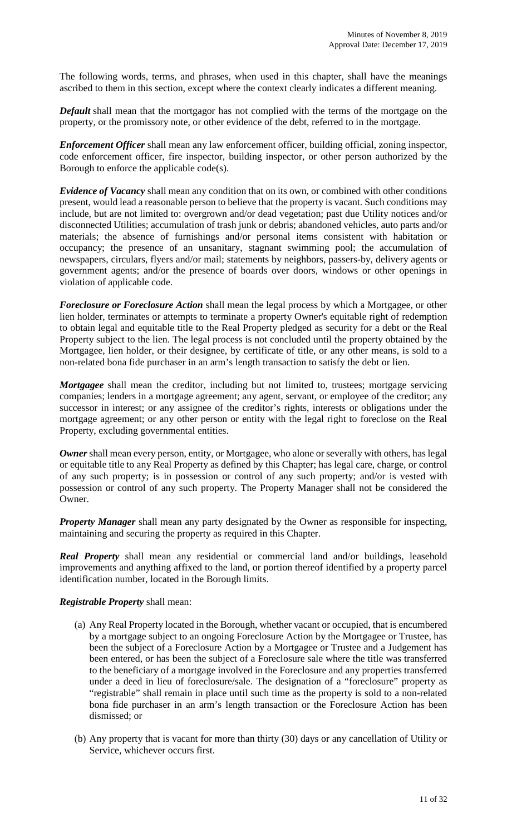The following words, terms, and phrases, when used in this chapter, shall have the meanings ascribed to them in this section, except where the context clearly indicates a different meaning.

*Default* shall mean that the mortgagor has not complied with the terms of the mortgage on the property, or the promissory note, or other evidence of the debt, referred to in the mortgage.

*Enforcement Officer* shall mean any law enforcement officer, building official, zoning inspector, code enforcement officer, fire inspector, building inspector, or other person authorized by the Borough to enforce the applicable code(s).

*Evidence of Vacancy* shall mean any condition that on its own, or combined with other conditions present, would lead a reasonable person to believe that the property is vacant. Such conditions may include, but are not limited to: overgrown and/or dead vegetation; past due Utility notices and/or disconnected Utilities; accumulation of trash junk or debris; abandoned vehicles, auto parts and/or materials; the absence of furnishings and/or personal items consistent with habitation or occupancy; the presence of an unsanitary, stagnant swimming pool; the accumulation of newspapers, circulars, flyers and/or mail; statements by neighbors, passers-by, delivery agents or government agents; and/or the presence of boards over doors, windows or other openings in violation of applicable code.

*Foreclosure or Foreclosure Action* shall mean the legal process by which a Mortgagee, or other lien holder, terminates or attempts to terminate a property Owner's equitable right of redemption to obtain legal and equitable title to the Real Property pledged as security for a debt or the Real Property subject to the lien. The legal process is not concluded until the property obtained by the Mortgagee, lien holder, or their designee, by certificate of title, or any other means, is sold to a non-related bona fide purchaser in an arm's length transaction to satisfy the debt or lien.

*Mortgagee* shall mean the creditor, including but not limited to, trustees; mortgage servicing companies; lenders in a mortgage agreement; any agent, servant, or employee of the creditor; any successor in interest; or any assignee of the creditor's rights, interests or obligations under the mortgage agreement; or any other person or entity with the legal right to foreclose on the Real Property, excluding governmental entities.

**Owner** shall mean every person, entity, or Mortgagee, who alone or severally with others, has legal or equitable title to any Real Property as defined by this Chapter; has legal care, charge, or control of any such property; is in possession or control of any such property; and/or is vested with possession or control of any such property. The Property Manager shall not be considered the Owner.

*Property Manager* shall mean any party designated by the Owner as responsible for inspecting, maintaining and securing the property as required in this Chapter.

*Real Property* shall mean any residential or commercial land and/or buildings, leasehold improvements and anything affixed to the land, or portion thereof identified by a property parcel identification number, located in the Borough limits.

### *Registrable Property* shall mean:

- (a) Any Real Property located in the Borough, whether vacant or occupied, that is encumbered by a mortgage subject to an ongoing Foreclosure Action by the Mortgagee or Trustee, has been the subject of a Foreclosure Action by a Mortgagee or Trustee and a Judgement has been entered, or has been the subject of a Foreclosure sale where the title was transferred to the beneficiary of a mortgage involved in the Foreclosure and any properties transferred under a deed in lieu of foreclosure/sale. The designation of a "foreclosure" property as "registrable" shall remain in place until such time as the property is sold to a non-related bona fide purchaser in an arm's length transaction or the Foreclosure Action has been dismissed; or
- (b) Any property that is vacant for more than thirty (30) days or any cancellation of Utility or Service, whichever occurs first.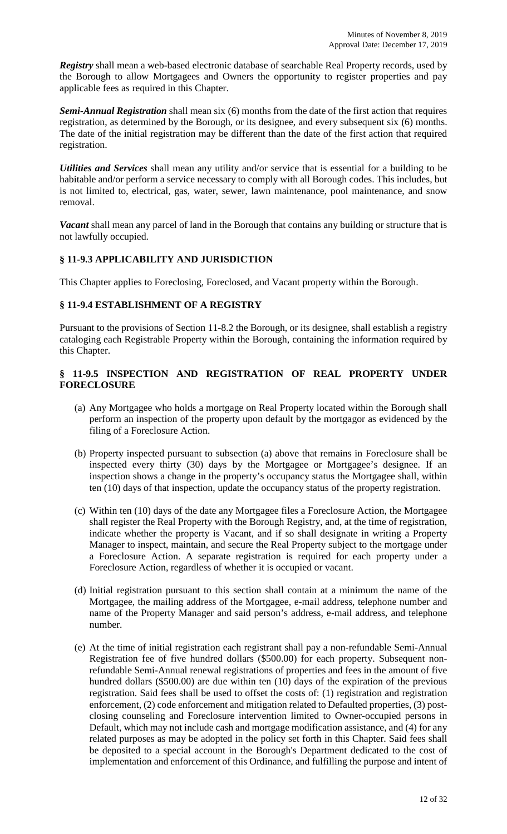*Registry* shall mean a web-based electronic database of searchable Real Property records, used by the Borough to allow Mortgagees and Owners the opportunity to register properties and pay applicable fees as required in this Chapter.

*Semi-Annual Registration* shall mean six (6) months from the date of the first action that requires registration, as determined by the Borough, or its designee, and every subsequent six (6) months. The date of the initial registration may be different than the date of the first action that required registration.

*Utilities and Services* shall mean any utility and/or service that is essential for a building to be habitable and/or perform a service necessary to comply with all Borough codes. This includes, but is not limited to, electrical, gas, water, sewer, lawn maintenance, pool maintenance, and snow removal.

*Vacant* shall mean any parcel of land in the Borough that contains any building or structure that is not lawfully occupied.

## **§ 11-9.3 APPLICABILITY AND JURISDICTION**

This Chapter applies to Foreclosing, Foreclosed, and Vacant property within the Borough.

### **§ 11-9.4 ESTABLISHMENT OF A REGISTRY**

Pursuant to the provisions of Section 11-8.2 the Borough, or its designee, shall establish a registry cataloging each Registrable Property within the Borough, containing the information required by this Chapter.

### **§ 11-9.5 INSPECTION AND REGISTRATION OF REAL PROPERTY UNDER FORECLOSURE**

- (a) Any Mortgagee who holds a mortgage on Real Property located within the Borough shall perform an inspection of the property upon default by the mortgagor as evidenced by the filing of a Foreclosure Action.
- (b) Property inspected pursuant to subsection (a) above that remains in Foreclosure shall be inspected every thirty (30) days by the Mortgagee or Mortgagee's designee. If an inspection shows a change in the property's occupancy status the Mortgagee shall, within ten (10) days of that inspection, update the occupancy status of the property registration.
- (c) Within ten (10) days of the date any Mortgagee files a Foreclosure Action, the Mortgagee shall register the Real Property with the Borough Registry, and, at the time of registration, indicate whether the property is Vacant, and if so shall designate in writing a Property Manager to inspect, maintain, and secure the Real Property subject to the mortgage under a Foreclosure Action. A separate registration is required for each property under a Foreclosure Action, regardless of whether it is occupied or vacant.
- (d) Initial registration pursuant to this section shall contain at a minimum the name of the Mortgagee, the mailing address of the Mortgagee, e-mail address, telephone number and name of the Property Manager and said person's address, e-mail address, and telephone number.
- (e) At the time of initial registration each registrant shall pay a non-refundable Semi-Annual Registration fee of five hundred dollars (\$500.00) for each property. Subsequent nonrefundable Semi-Annual renewal registrations of properties and fees in the amount of five hundred dollars (\$500.00) are due within ten (10) days of the expiration of the previous registration. Said fees shall be used to offset the costs of: (1) registration and registration enforcement, (2) code enforcement and mitigation related to Defaulted properties, (3) postclosing counseling and Foreclosure intervention limited to Owner-occupied persons in Default, which may not include cash and mortgage modification assistance, and (4) for any related purposes as may be adopted in the policy set forth in this Chapter. Said fees shall be deposited to a special account in the Borough's Department dedicated to the cost of implementation and enforcement of this Ordinance, and fulfilling the purpose and intent of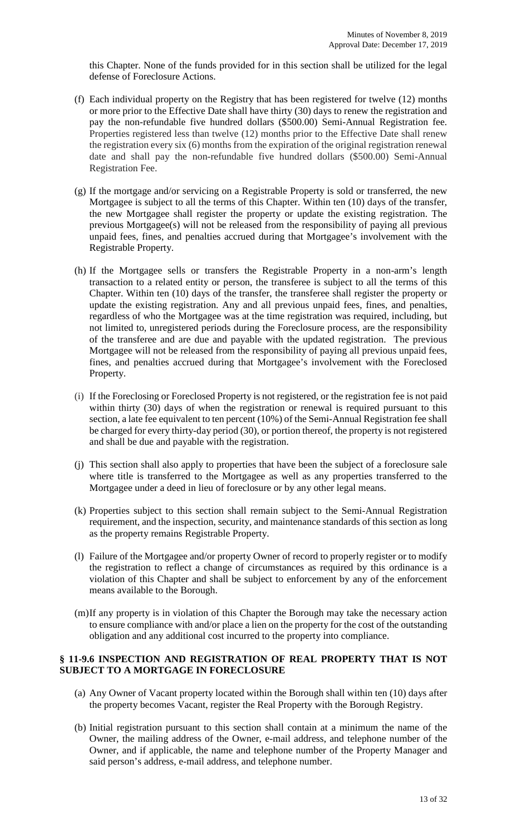this Chapter. None of the funds provided for in this section shall be utilized for the legal defense of Foreclosure Actions.

- (f) Each individual property on the Registry that has been registered for twelve (12) months or more prior to the Effective Date shall have thirty (30) days to renew the registration and pay the non-refundable five hundred dollars (\$500.00) Semi-Annual Registration fee. Properties registered less than twelve (12) months prior to the Effective Date shall renew the registration every six (6) months from the expiration of the original registration renewal date and shall pay the non-refundable five hundred dollars (\$500.00) Semi-Annual Registration Fee.
- (g) If the mortgage and/or servicing on a Registrable Property is sold or transferred, the new Mortgagee is subject to all the terms of this Chapter. Within ten (10) days of the transfer, the new Mortgagee shall register the property or update the existing registration. The previous Mortgagee(s) will not be released from the responsibility of paying all previous unpaid fees, fines, and penalties accrued during that Mortgagee's involvement with the Registrable Property.
- (h) If the Mortgagee sells or transfers the Registrable Property in a non-arm's length transaction to a related entity or person, the transferee is subject to all the terms of this Chapter. Within ten (10) days of the transfer, the transferee shall register the property or update the existing registration. Any and all previous unpaid fees, fines, and penalties, regardless of who the Mortgagee was at the time registration was required, including, but not limited to, unregistered periods during the Foreclosure process, are the responsibility of the transferee and are due and payable with the updated registration. The previous Mortgagee will not be released from the responsibility of paying all previous unpaid fees, fines, and penalties accrued during that Mortgagee's involvement with the Foreclosed Property.
- (i) If the Foreclosing or Foreclosed Property is not registered, or the registration fee is not paid within thirty (30) days of when the registration or renewal is required pursuant to this section, a late fee equivalent to ten percent (10%) of the Semi-Annual Registration fee shall be charged for every thirty-day period (30), or portion thereof, the property is not registered and shall be due and payable with the registration.
- (j) This section shall also apply to properties that have been the subject of a foreclosure sale where title is transferred to the Mortgagee as well as any properties transferred to the Mortgagee under a deed in lieu of foreclosure or by any other legal means.
- (k) Properties subject to this section shall remain subject to the Semi-Annual Registration requirement, and the inspection, security, and maintenance standards of this section as long as the property remains Registrable Property.
- (l) Failure of the Mortgagee and/or property Owner of record to properly register or to modify the registration to reflect a change of circumstances as required by this ordinance is a violation of this Chapter and shall be subject to enforcement by any of the enforcement means available to the Borough.
- (m)If any property is in violation of this Chapter the Borough may take the necessary action to ensure compliance with and/or place a lien on the property for the cost of the outstanding obligation and any additional cost incurred to the property into compliance.

### **§ 11-9.6 INSPECTION AND REGISTRATION OF REAL PROPERTY THAT IS NOT SUBJECT TO A MORTGAGE IN FORECLOSURE**

- (a) Any Owner of Vacant property located within the Borough shall within ten (10) days after the property becomes Vacant, register the Real Property with the Borough Registry.
- (b) Initial registration pursuant to this section shall contain at a minimum the name of the Owner, the mailing address of the Owner, e-mail address, and telephone number of the Owner, and if applicable, the name and telephone number of the Property Manager and said person's address, e-mail address, and telephone number.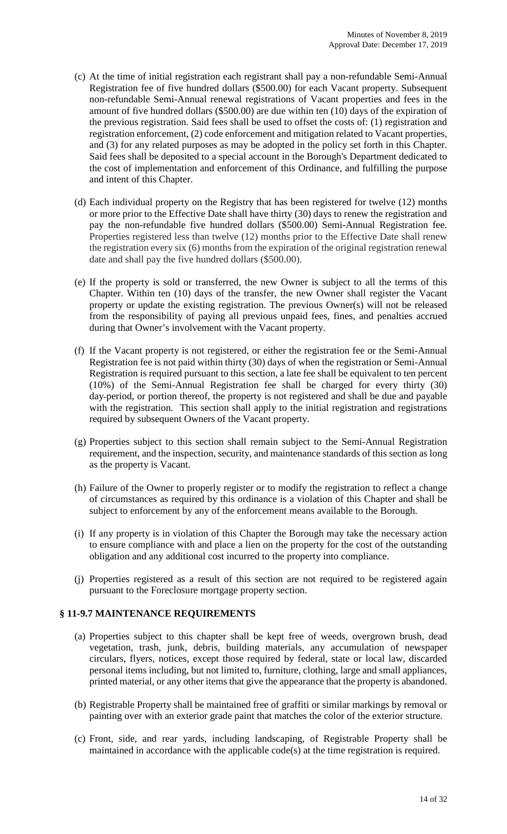- (c) At the time of initial registration each registrant shall pay a non-refundable Semi-Annual Registration fee of five hundred dollars (\$500.00) for each Vacant property. Subsequent non-refundable Semi-Annual renewal registrations of Vacant properties and fees in the amount of five hundred dollars (\$500.00) are due within ten (10) days of the expiration of the previous registration. Said fees shall be used to offset the costs of: (1) registration and registration enforcement, (2) code enforcement and mitigation related to Vacant properties, and (3) for any related purposes as may be adopted in the policy set forth in this Chapter. Said fees shall be deposited to a special account in the Borough's Department dedicated to the cost of implementation and enforcement of this Ordinance, and fulfilling the purpose and intent of this Chapter.
- (d) Each individual property on the Registry that has been registered for twelve (12) months or more prior to the Effective Date shall have thirty (30) days to renew the registration and pay the non-refundable five hundred dollars (\$500.00) Semi-Annual Registration fee. Properties registered less than twelve (12) months prior to the Effective Date shall renew the registration every six (6) months from the expiration of the original registration renewal date and shall pay the five hundred dollars (\$500.00).
- (e) If the property is sold or transferred, the new Owner is subject to all the terms of this Chapter. Within ten (10) days of the transfer, the new Owner shall register the Vacant property or update the existing registration. The previous Owner(s) will not be released from the responsibility of paying all previous unpaid fees, fines, and penalties accrued during that Owner's involvement with the Vacant property.
- (f) If the Vacant property is not registered, or either the registration fee or the Semi-Annual Registration fee is not paid within thirty (30) days of when the registration or Semi-Annual Registration is required pursuant to this section, a late fee shall be equivalent to ten percent (10%) of the Semi-Annual Registration fee shall be charged for every thirty (30) day period, or portion thereof, the property is not registered and shall be due and payable with the registration. This section shall apply to the initial registration and registrations required by subsequent Owners of the Vacant property.
- (g) Properties subject to this section shall remain subject to the Semi-Annual Registration requirement, and the inspection, security, and maintenance standards of this section as long as the property is Vacant.
- (h) Failure of the Owner to properly register or to modify the registration to reflect a change of circumstances as required by this ordinance is a violation of this Chapter and shall be subject to enforcement by any of the enforcement means available to the Borough.
- (i) If any property is in violation of this Chapter the Borough may take the necessary action to ensure compliance with and place a lien on the property for the cost of the outstanding obligation and any additional cost incurred to the property into compliance.
- (j) Properties registered as a result of this section are not required to be registered again pursuant to the Foreclosure mortgage property section.

### **§ 11-9.7 MAINTENANCE REQUIREMENTS**

- (a) Properties subject to this chapter shall be kept free of weeds, overgrown brush, dead vegetation, trash, junk, debris, building materials, any accumulation of newspaper circulars, flyers, notices, except those required by federal, state or local law, discarded personal items including, but not limited to, furniture, clothing, large and small appliances, printed material, or any other items that give the appearance that the property is abandoned.
- (b) Registrable Property shall be maintained free of graffiti or similar markings by removal or painting over with an exterior grade paint that matches the color of the exterior structure.
- (c) Front, side, and rear yards, including landscaping, of Registrable Property shall be maintained in accordance with the applicable code(s) at the time registration is required.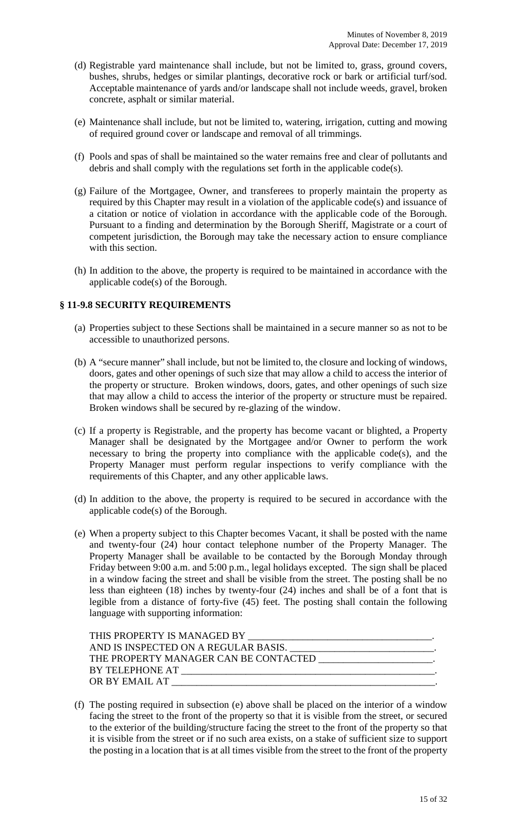- (d) Registrable yard maintenance shall include, but not be limited to, grass, ground covers, bushes, shrubs, hedges or similar plantings, decorative rock or bark or artificial turf/sod. Acceptable maintenance of yards and/or landscape shall not include weeds, gravel, broken concrete, asphalt or similar material.
- (e) Maintenance shall include, but not be limited to, watering, irrigation, cutting and mowing of required ground cover or landscape and removal of all trimmings.
- (f) Pools and spas of shall be maintained so the water remains free and clear of pollutants and debris and shall comply with the regulations set forth in the applicable code(s).
- (g) Failure of the Mortgagee, Owner, and transferees to properly maintain the property as required by this Chapter may result in a violation of the applicable code(s) and issuance of a citation or notice of violation in accordance with the applicable code of the Borough. Pursuant to a finding and determination by the Borough Sheriff, Magistrate or a court of competent jurisdiction, the Borough may take the necessary action to ensure compliance with this section.
- (h) In addition to the above, the property is required to be maintained in accordance with the applicable code(s) of the Borough.

### **§ 11-9.8 SECURITY REQUIREMENTS**

- (a) Properties subject to these Sections shall be maintained in a secure manner so as not to be accessible to unauthorized persons.
- (b) A "secure manner" shall include, but not be limited to, the closure and locking of windows, doors, gates and other openings of such size that may allow a child to access the interior of the property or structure. Broken windows, doors, gates, and other openings of such size that may allow a child to access the interior of the property or structure must be repaired. Broken windows shall be secured by re-glazing of the window.
- (c) If a property is Registrable, and the property has become vacant or blighted, a Property Manager shall be designated by the Mortgagee and/or Owner to perform the work necessary to bring the property into compliance with the applicable code(s), and the Property Manager must perform regular inspections to verify compliance with the requirements of this Chapter, and any other applicable laws.
- (d) In addition to the above, the property is required to be secured in accordance with the applicable code(s) of the Borough.
- (e) When a property subject to this Chapter becomes Vacant, it shall be posted with the name and twenty-four (24) hour contact telephone number of the Property Manager. The Property Manager shall be available to be contacted by the Borough Monday through Friday between 9:00 a.m. and 5:00 p.m., legal holidays excepted. The sign shall be placed in a window facing the street and shall be visible from the street. The posting shall be no less than eighteen (18) inches by twenty-four (24) inches and shall be of a font that is legible from a distance of forty-five (45) feet. The posting shall contain the following language with supporting information:

| THE PROPERTY MANAGER CAN BE CONTACTED _____________________                                                      |
|------------------------------------------------------------------------------------------------------------------|
| BY TELEPHONE AT THE CONSTRUCTION OF THE CONSTRUCTION OF THE CONSTRUCTION OF THE CONSTRUCTION OF THE CONSTRUCTION |
| OR BY EMAIL AT                                                                                                   |
|                                                                                                                  |

(f) The posting required in subsection (e) above shall be placed on the interior of a window facing the street to the front of the property so that it is visible from the street, or secured to the exterior of the building/structure facing the street to the front of the property so that it is visible from the street or if no such area exists, on a stake of sufficient size to support the posting in a location that is at all times visible from the street to the front of the property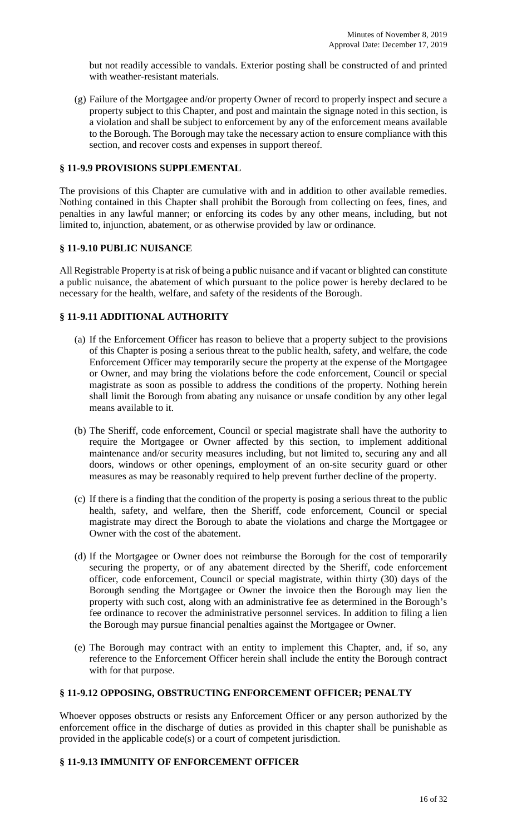but not readily accessible to vandals. Exterior posting shall be constructed of and printed with weather-resistant materials.

(g) Failure of the Mortgagee and/or property Owner of record to properly inspect and secure a property subject to this Chapter, and post and maintain the signage noted in this section, is a violation and shall be subject to enforcement by any of the enforcement means available to the Borough. The Borough may take the necessary action to ensure compliance with this section, and recover costs and expenses in support thereof.

# **§ 11-9.9 PROVISIONS SUPPLEMENTAL**

The provisions of this Chapter are cumulative with and in addition to other available remedies. Nothing contained in this Chapter shall prohibit the Borough from collecting on fees, fines, and penalties in any lawful manner; or enforcing its codes by any other means, including, but not limited to, injunction, abatement, or as otherwise provided by law or ordinance.

#### **§ 11-9.10 PUBLIC NUISANCE**

All Registrable Property is at risk of being a public nuisance and if vacant or blighted can constitute a public nuisance, the abatement of which pursuant to the police power is hereby declared to be necessary for the health, welfare, and safety of the residents of the Borough.

### **§ 11-9.11 ADDITIONAL AUTHORITY**

- (a) If the Enforcement Officer has reason to believe that a property subject to the provisions of this Chapter is posing a serious threat to the public health, safety, and welfare, the code Enforcement Officer may temporarily secure the property at the expense of the Mortgagee or Owner, and may bring the violations before the code enforcement, Council or special magistrate as soon as possible to address the conditions of the property. Nothing herein shall limit the Borough from abating any nuisance or unsafe condition by any other legal means available to it.
- (b) The Sheriff, code enforcement, Council or special magistrate shall have the authority to require the Mortgagee or Owner affected by this section, to implement additional maintenance and/or security measures including, but not limited to, securing any and all doors, windows or other openings, employment of an on-site security guard or other measures as may be reasonably required to help prevent further decline of the property.
- (c) If there is a finding that the condition of the property is posing a serious threat to the public health, safety, and welfare, then the Sheriff, code enforcement, Council or special magistrate may direct the Borough to abate the violations and charge the Mortgagee or Owner with the cost of the abatement.
- (d) If the Mortgagee or Owner does not reimburse the Borough for the cost of temporarily securing the property, or of any abatement directed by the Sheriff, code enforcement officer, code enforcement, Council or special magistrate, within thirty (30) days of the Borough sending the Mortgagee or Owner the invoice then the Borough may lien the property with such cost, along with an administrative fee as determined in the Borough's fee ordinance to recover the administrative personnel services. In addition to filing a lien the Borough may pursue financial penalties against the Mortgagee or Owner.
- (e) The Borough may contract with an entity to implement this Chapter, and, if so, any reference to the Enforcement Officer herein shall include the entity the Borough contract with for that purpose.

# **§ 11-9.12 OPPOSING, OBSTRUCTING ENFORCEMENT OFFICER; PENALTY**

Whoever opposes obstructs or resists any Enforcement Officer or any person authorized by the enforcement office in the discharge of duties as provided in this chapter shall be punishable as provided in the applicable code(s) or a court of competent jurisdiction.

### **§ 11-9.13 IMMUNITY OF ENFORCEMENT OFFICER**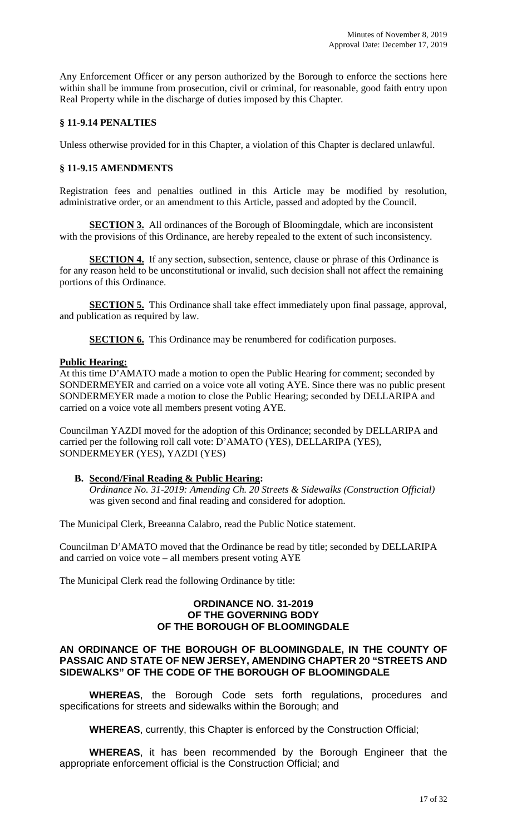Any Enforcement Officer or any person authorized by the Borough to enforce the sections here within shall be immune from prosecution, civil or criminal, for reasonable, good faith entry upon Real Property while in the discharge of duties imposed by this Chapter.

## **§ 11-9.14 PENALTIES**

Unless otherwise provided for in this Chapter, a violation of this Chapter is declared unlawful.

# **§ 11-9.15 AMENDMENTS**

Registration fees and penalties outlined in this Article may be modified by resolution, administrative order, or an amendment to this Article, passed and adopted by the Council.

**SECTION 3.** All ordinances of the Borough of Bloomingdale, which are inconsistent with the provisions of this Ordinance, are hereby repealed to the extent of such inconsistency.

**SECTION 4.** If any section, subsection, sentence, clause or phrase of this Ordinance is for any reason held to be unconstitutional or invalid, such decision shall not affect the remaining portions of this Ordinance.

**SECTION 5.** This Ordinance shall take effect immediately upon final passage, approval, and publication as required by law.

**SECTION 6.** This Ordinance may be renumbered for codification purposes.

### **Public Hearing:**

At this time D'AMATO made a motion to open the Public Hearing for comment; seconded by SONDERMEYER and carried on a voice vote all voting AYE. Since there was no public present SONDERMEYER made a motion to close the Public Hearing; seconded by DELLARIPA and carried on a voice vote all members present voting AYE.

Councilman YAZDI moved for the adoption of this Ordinance; seconded by DELLARIPA and carried per the following roll call vote: D'AMATO (YES), DELLARIPA (YES), SONDERMEYER (YES), YAZDI (YES)

### **B. Second/Final Reading & Public Hearing:**

*Ordinance No. 31-2019: Amending Ch. 20 Streets & Sidewalks (Construction Official)*  was given second and final reading and considered for adoption.

The Municipal Clerk, Breeanna Calabro, read the Public Notice statement.

Councilman D'AMATO moved that the Ordinance be read by title; seconded by DELLARIPA and carried on voice vote – all members present voting AYE

The Municipal Clerk read the following Ordinance by title:

#### **ORDINANCE NO. 31-2019 OF THE GOVERNING BODY OF THE BOROUGH OF BLOOMINGDALE**

### **AN ORDINANCE OF THE BOROUGH OF BLOOMINGDALE, IN THE COUNTY OF PASSAIC AND STATE OF NEW JERSEY, AMENDING CHAPTER 20 "STREETS AND SIDEWALKS" OF THE CODE OF THE BOROUGH OF BLOOMINGDALE**

**WHEREAS**, the Borough Code sets forth regulations, procedures and specifications for streets and sidewalks within the Borough; and

**WHEREAS**, currently, this Chapter is enforced by the Construction Official;

**WHEREAS**, it has been recommended by the Borough Engineer that the appropriate enforcement official is the Construction Official; and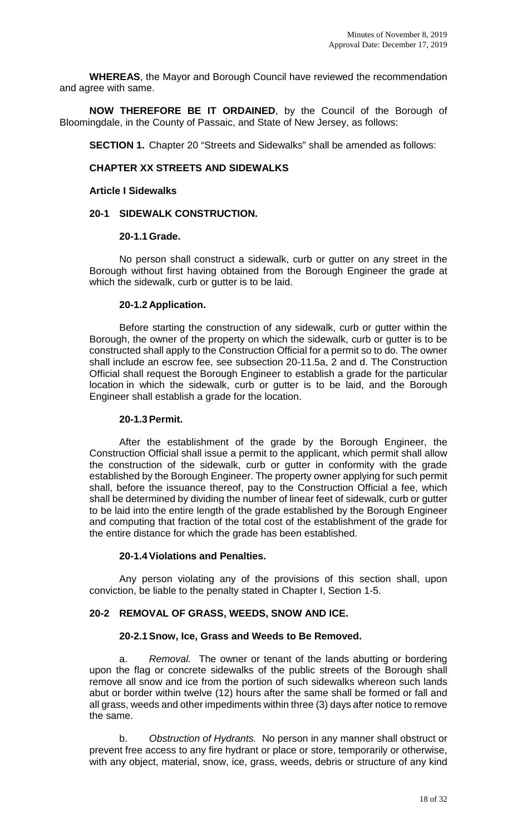**WHEREAS**, the Mayor and Borough Council have reviewed the recommendation and agree with same.

**NOW THEREFORE BE IT ORDAINED**, by the Council of the Borough of Bloomingdale, in the County of Passaic, and State of New Jersey, as follows:

**SECTION 1.** Chapter 20 "Streets and Sidewalks" shall be amended as follows:

# **CHAPTER XX STREETS AND SIDEWALKS**

### **Article I Sidewalks**

### **20-1 SIDEWALK CONSTRUCTION.**

### **20-1.1Grade.**

No person shall construct a sidewalk, curb or gutter on any street in the Borough without first having obtained from the Borough Engineer the grade at which the sidewalk, curb or gutter is to be laid.

### **20-1.2 Application.**

Before starting the construction of any sidewalk, curb or gutter within the Borough, the owner of the property on which the sidewalk, curb or gutter is to be constructed shall apply to the Construction Official for a permit so to do. The owner shall include an escrow fee, see subsection 20-11.5a, 2 and d. The Construction Official shall request the Borough Engineer to establish a grade for the particular location in which the sidewalk, curb or gutter is to be laid, and the Borough Engineer shall establish a grade for the location.

### **20-1.3Permit.**

After the establishment of the grade by the Borough Engineer, the Construction Official shall issue a permit to the applicant, which permit shall allow the construction of the sidewalk, curb or gutter in conformity with the grade established by the Borough Engineer. The property owner applying for such permit shall, before the issuance thereof, pay to the Construction Official a fee, which shall be determined by dividing the number of linear feet of sidewalk, curb or gutter to be laid into the entire length of the grade established by the Borough Engineer and computing that fraction of the total cost of the establishment of the grade for the entire distance for which the grade has been established.

### **20-1.4Violations and Penalties.**

Any person violating any of the provisions of this section shall, upon conviction, be liable to the penalty stated in Chapter I, Section 1-5.

### **20-2 REMOVAL OF GRASS, WEEDS, SNOW AND ICE.**

### **20-2.1Snow, Ice, Grass and Weeds to Be Removed.**

Removal. The owner or tenant of the lands abutting or bordering upon the flag or concrete sidewalks of the public streets of the Borough shall remove all snow and ice from the portion of such sidewalks whereon such lands abut or border within twelve (12) hours after the same shall be formed or fall and all grass, weeds and other impediments within three (3) days after notice to remove the same.

b. *Obstruction of Hydrants.* No person in any manner shall obstruct or prevent free access to any fire hydrant or place or store, temporarily or otherwise, with any object, material, snow, ice, grass, weeds, debris or structure of any kind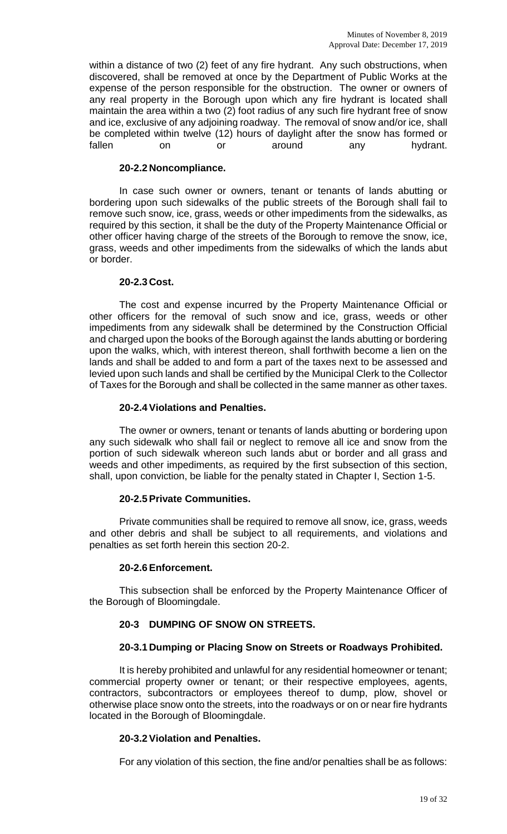within a distance of two (2) feet of any fire hydrant. Any such obstructions, when discovered, shall be removed at once by the Department of Public Works at the expense of the person responsible for the obstruction. The owner or owners of any real property in the Borough upon which any fire hydrant is located shall maintain the area within a two (2) foot radius of any such fire hydrant free of snow and ice, exclusive of any adjoining roadway. The removal of snow and/or ice, shall be completed within twelve (12) hours of daylight after the snow has formed or fallen on or around any hydrant.

### **20-2.2 Noncompliance.**

In case such owner or owners, tenant or tenants of lands abutting or bordering upon such sidewalks of the public streets of the Borough shall fail to remove such snow, ice, grass, weeds or other impediments from the sidewalks, as required by this section, it shall be the duty of the Property Maintenance Official or other officer having charge of the streets of the Borough to remove the snow, ice, grass, weeds and other impediments from the sidewalks of which the lands abut or border.

### **20-2.3 Cost.**

The cost and expense incurred by the Property Maintenance Official or other officers for the removal of such snow and ice, grass, weeds or other impediments from any sidewalk shall be determined by the Construction Official and charged upon the books of the Borough against the lands abutting or bordering upon the walks, which, with interest thereon, shall forthwith become a lien on the lands and shall be added to and form a part of the taxes next to be assessed and levied upon such lands and shall be certified by the Municipal Clerk to the Collector of Taxes for the Borough and shall be collected in the same manner as other taxes.

### **20-2.4Violations and Penalties.**

The owner or owners, tenant or tenants of lands abutting or bordering upon any such sidewalk who shall fail or neglect to remove all ice and snow from the portion of such sidewalk whereon such lands abut or border and all grass and weeds and other impediments, as required by the first subsection of this section, shall, upon conviction, be liable for the penalty stated in Chapter I, Section 1-5.

### **20-2.5Private Communities.**

Private communities shall be required to remove all snow, ice, grass, weeds and other debris and shall be subject to all requirements, and violations and penalties as set forth herein this section 20-2.

### **20-2.6Enforcement.**

This subsection shall be enforced by the Property Maintenance Officer of the Borough of Bloomingdale.

# **20-3 DUMPING OF SNOW ON STREETS.**

### **20-3.1 Dumping or Placing Snow on Streets or Roadways Prohibited.**

It is hereby prohibited and unlawful for any residential homeowner or tenant; commercial property owner or tenant; or their respective employees, agents, contractors, subcontractors or employees thereof to dump, plow, shovel or otherwise place snow onto the streets, into the roadways or on or near fire hydrants located in the Borough of Bloomingdale.

### **20-3.2Violation and Penalties.**

For any violation of this section, the fine and/or penalties shall be as follows: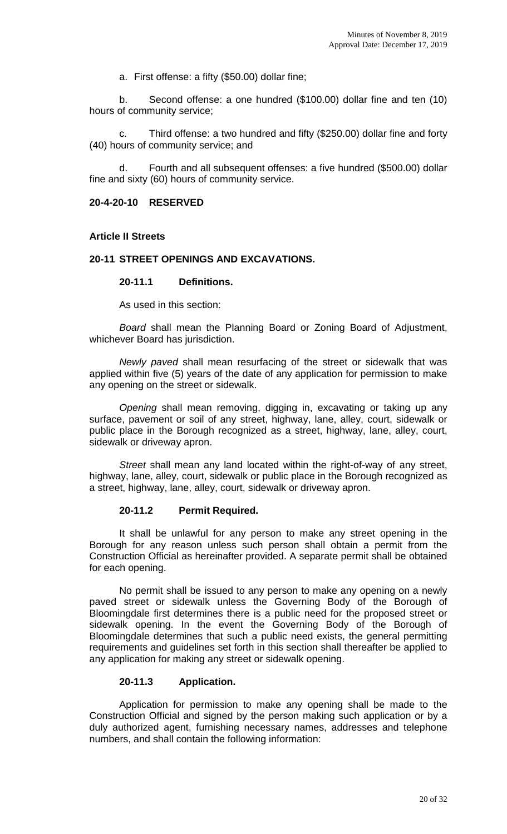a. First offense: a fifty (\$50.00) dollar fine;

b. Second offense: a one hundred (\$100.00) dollar fine and ten (10) hours of community service;

c. Third offense: a two hundred and fifty (\$250.00) dollar fine and forty (40) hours of community service; and

d. Fourth and all subsequent offenses: a five hundred (\$500.00) dollar fine and sixty (60) hours of community service.

## **20-4-20-10 RESERVED**

## **Article II Streets**

## **20-11 STREET OPENINGS AND EXCAVATIONS.**

## **20-11.1 Definitions.**

As used in this section:

*Board* shall mean the Planning Board or Zoning Board of Adjustment, whichever Board has jurisdiction.

*Newly paved* shall mean resurfacing of the street or sidewalk that was applied within five (5) years of the date of any application for permission to make any opening on the street or sidewalk.

*Opening* shall mean removing, digging in, excavating or taking up any surface, pavement or soil of any street, highway, lane, alley, court, sidewalk or public place in the Borough recognized as a street, highway, lane, alley, court, sidewalk or driveway apron.

*Street* shall mean any land located within the right-of-way of any street, highway, lane, alley, court, sidewalk or public place in the Borough recognized as a street, highway, lane, alley, court, sidewalk or driveway apron.

### **20-11.2 Permit Required.**

It shall be unlawful for any person to make any street opening in the Borough for any reason unless such person shall obtain a permit from the Construction Official as hereinafter provided. A separate permit shall be obtained for each opening.

No permit shall be issued to any person to make any opening on a newly paved street or sidewalk unless the Governing Body of the Borough of Bloomingdale first determines there is a public need for the proposed street or sidewalk opening. In the event the Governing Body of the Borough of Bloomingdale determines that such a public need exists, the general permitting requirements and guidelines set forth in this section shall thereafter be applied to any application for making any street or sidewalk opening.

# **20-11.3 Application.**

Application for permission to make any opening shall be made to the Construction Official and signed by the person making such application or by a duly authorized agent, furnishing necessary names, addresses and telephone numbers, and shall contain the following information: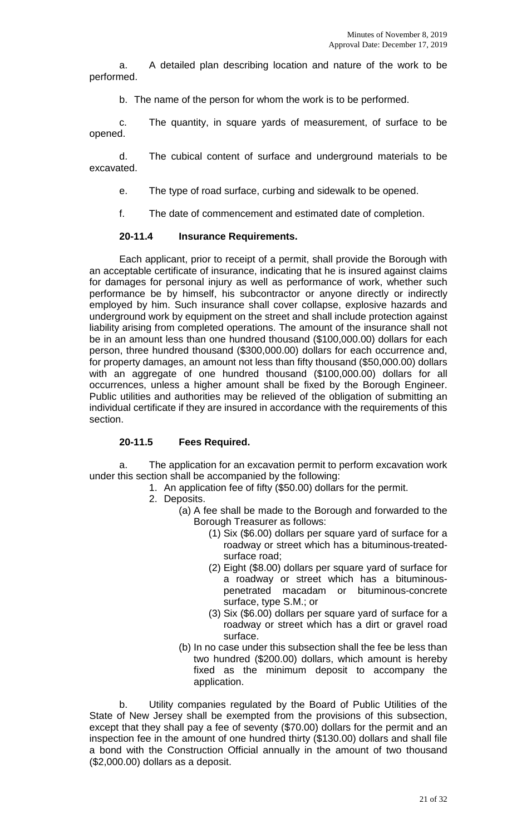a. A detailed plan describing location and nature of the work to be performed.

b. The name of the person for whom the work is to be performed.

c. The quantity, in square yards of measurement, of surface to be opened.

d. The cubical content of surface and underground materials to be excavated.

- e. The type of road surface, curbing and sidewalk to be opened.
- f. The date of commencement and estimated date of completion.

## **20-11.4 Insurance Requirements.**

Each applicant, prior to receipt of a permit, shall provide the Borough with an acceptable certificate of insurance, indicating that he is insured against claims for damages for personal injury as well as performance of work, whether such performance be by himself, his subcontractor or anyone directly or indirectly employed by him. Such insurance shall cover collapse, explosive hazards and underground work by equipment on the street and shall include protection against liability arising from completed operations. The amount of the insurance shall not be in an amount less than one hundred thousand (\$100,000.00) dollars for each person, three hundred thousand (\$300,000.00) dollars for each occurrence and, for property damages, an amount not less than fifty thousand (\$50,000.00) dollars with an aggregate of one hundred thousand (\$100,000.00) dollars for all occurrences, unless a higher amount shall be fixed by the Borough Engineer. Public utilities and authorities may be relieved of the obligation of submitting an individual certificate if they are insured in accordance with the requirements of this section.

# **20-11.5 Fees Required.**

a. The application for an excavation permit to perform excavation work under this section shall be accompanied by the following:

- 1. An application fee of fifty (\$50.00) dollars for the permit.
- 2. Deposits.
	- (a) A fee shall be made to the Borough and forwarded to the Borough Treasurer as follows:
		- (1) Six (\$6.00) dollars per square yard of surface for a roadway or street which has a bituminous-treatedsurface road;
		- (2) Eight (\$8.00) dollars per square yard of surface for a roadway or street which has a bituminouspenetrated macadam or bituminous-concrete surface, type S.M.; or
		- (3) Six (\$6.00) dollars per square yard of surface for a roadway or street which has a dirt or gravel road surface.
		- (b) In no case under this subsection shall the fee be less than two hundred (\$200.00) dollars, which amount is hereby fixed as the minimum deposit to accompany the application.

b. Utility companies regulated by the Board of Public Utilities of the State of New Jersey shall be exempted from the provisions of this subsection, except that they shall pay a fee of seventy (\$70.00) dollars for the permit and an inspection fee in the amount of one hundred thirty (\$130.00) dollars and shall file a bond with the Construction Official annually in the amount of two thousand (\$2,000.00) dollars as a deposit.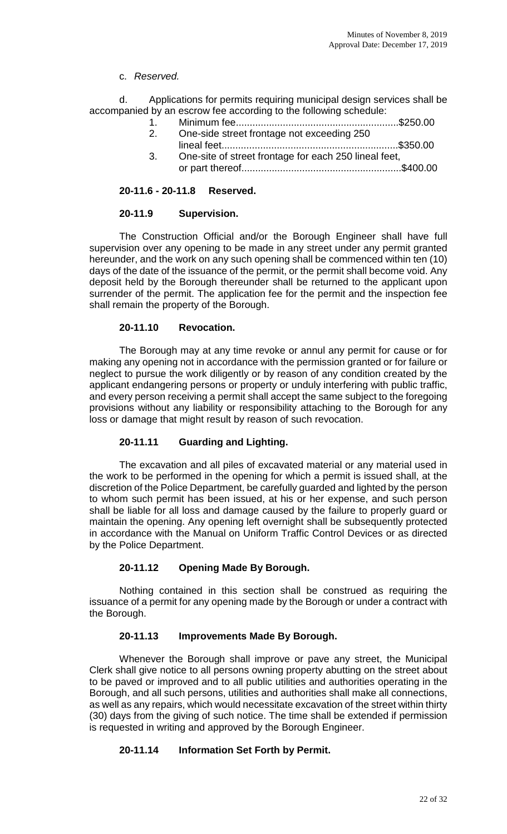# c. *Reserved.*

d. Applications for permits requiring municipal design services shall be accompanied by an escrow fee according to the following schedule:

- 1. Minimum fee...........................................................\$250.00 2. One-side street frontage not exceeding 250
- lineal feet................................................................\$350.00 3. One-site of street frontage for each 250 lineal feet,
- or part thereof..........................................................\$400.00

## **20-11.6 - 20-11.8 Reserved.**

### **20-11.9 Supervision.**

The Construction Official and/or the Borough Engineer shall have full supervision over any opening to be made in any street under any permit granted hereunder, and the work on any such opening shall be commenced within ten (10) days of the date of the issuance of the permit, or the permit shall become void. Any deposit held by the Borough thereunder shall be returned to the applicant upon surrender of the permit. The application fee for the permit and the inspection fee shall remain the property of the Borough.

## **20-11.10 Revocation.**

The Borough may at any time revoke or annul any permit for cause or for making any opening not in accordance with the permission granted or for failure or neglect to pursue the work diligently or by reason of any condition created by the applicant endangering persons or property or unduly interfering with public traffic, and every person receiving a permit shall accept the same subject to the foregoing provisions without any liability or responsibility attaching to the Borough for any loss or damage that might result by reason of such revocation.

# **20-11.11 Guarding and Lighting.**

The excavation and all piles of excavated material or any material used in the work to be performed in the opening for which a permit is issued shall, at the discretion of the Police Department, be carefully guarded and lighted by the person to whom such permit has been issued, at his or her expense, and such person shall be liable for all loss and damage caused by the failure to properly guard or maintain the opening. Any opening left overnight shall be subsequently protected in accordance with the Manual on Uniform Traffic Control Devices or as directed by the Police Department.

# **20-11.12 Opening Made By Borough.**

Nothing contained in this section shall be construed as requiring the issuance of a permit for any opening made by the Borough or under a contract with the Borough.

### **20-11.13 Improvements Made By Borough.**

Whenever the Borough shall improve or pave any street, the Municipal Clerk shall give notice to all persons owning property abutting on the street about to be paved or improved and to all public utilities and authorities operating in the Borough, and all such persons, utilities and authorities shall make all connections, as well as any repairs, which would necessitate excavation of the street within thirty (30) days from the giving of such notice. The time shall be extended if permission is requested in writing and approved by the Borough Engineer.

# **20-11.14 Information Set Forth by Permit.**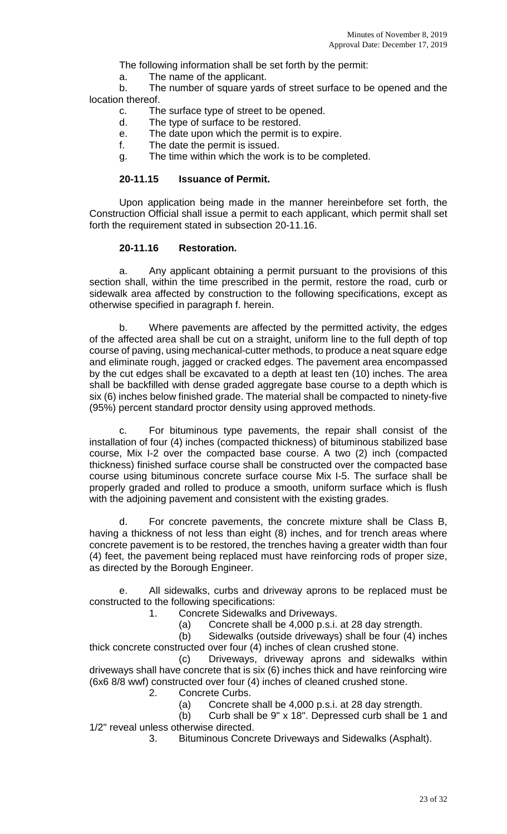The following information shall be set forth by the permit:

a. The name of the applicant.

b. The number of square yards of street surface to be opened and the location thereof.

- c. The surface type of street to be opened.
- d. The type of surface to be restored.
- e. The date upon which the permit is to expire.
- f. The date the permit is issued.
- g. The time within which the work is to be completed.

### **20-11.15 Issuance of Permit.**

Upon application being made in the manner hereinbefore set forth, the Construction Official shall issue a permit to each applicant, which permit shall set forth the requirement stated in subsection 20-11.16.

### **20-11.16 Restoration.**

a. Any applicant obtaining a permit pursuant to the provisions of this section shall, within the time prescribed in the permit, restore the road, curb or sidewalk area affected by construction to the following specifications, except as otherwise specified in paragraph f. herein.

b. Where pavements are affected by the permitted activity, the edges of the affected area shall be cut on a straight, uniform line to the full depth of top course of paving, using mechanical-cutter methods, to produce a neat square edge and eliminate rough, jagged or cracked edges. The pavement area encompassed by the cut edges shall be excavated to a depth at least ten (10) inches. The area shall be backfilled with dense graded aggregate base course to a depth which is six (6) inches below finished grade. The material shall be compacted to ninety-five (95%) percent standard proctor density using approved methods.

c. For bituminous type pavements, the repair shall consist of the installation of four (4) inches (compacted thickness) of bituminous stabilized base course, Mix I-2 over the compacted base course. A two (2) inch (compacted thickness) finished surface course shall be constructed over the compacted base course using bituminous concrete surface course Mix I-5. The surface shall be properly graded and rolled to produce a smooth, uniform surface which is flush with the adjoining pavement and consistent with the existing grades.

d. For concrete pavements, the concrete mixture shall be Class B, having a thickness of not less than eight (8) inches, and for trench areas where concrete pavement is to be restored, the trenches having a greater width than four (4) feet, the pavement being replaced must have reinforcing rods of proper size, as directed by the Borough Engineer.

e. All sidewalks, curbs and driveway aprons to be replaced must be constructed to the following specifications:

- 1. Concrete Sidewalks and Driveways.
	- (a) Concrete shall be 4,000 p.s.i. at 28 day strength.

(b) Sidewalks (outside driveways) shall be four (4) inches thick concrete constructed over four (4) inches of clean crushed stone.

(c) Driveways, driveway aprons and sidewalks within driveways shall have concrete that is six (6) inches thick and have reinforcing wire (6x6 8/8 wwf) constructed over four (4) inches of cleaned crushed stone.

- Concrete Curbs.
	- (a) Concrete shall be  $4,000$  p.s.i. at 28 day strength.<br>(b) Curb shall be  $9" \times 18"$ . Depressed curb shall be

Curb shall be 9" x 18". Depressed curb shall be 1 and 1/2" reveal unless otherwise directed.

3. Bituminous Concrete Driveways and Sidewalks (Asphalt).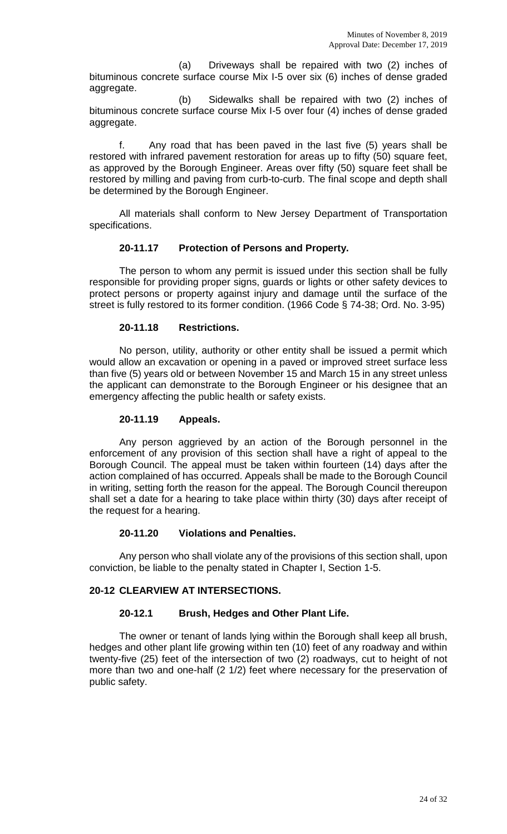(a) Driveways shall be repaired with two (2) inches of bituminous concrete surface course Mix I-5 over six (6) inches of dense graded aggregate.

(b) Sidewalks shall be repaired with two (2) inches of bituminous concrete surface course Mix I-5 over four (4) inches of dense graded aggregate.

f. Any road that has been paved in the last five (5) years shall be restored with infrared pavement restoration for areas up to fifty (50) square feet, as approved by the Borough Engineer. Areas over fifty (50) square feet shall be restored by milling and paving from curb-to-curb. The final scope and depth shall be determined by the Borough Engineer.

All materials shall conform to New Jersey Department of Transportation specifications.

# **20-11.17 Protection of Persons and Property.**

The person to whom any permit is issued under this section shall be fully responsible for providing proper signs, guards or lights or other safety devices to protect persons or property against injury and damage until the surface of the street is fully restored to its former condition. (1966 Code § 74-38; Ord. No. 3-95)

## **20-11.18 Restrictions.**

No person, utility, authority or other entity shall be issued a permit which would allow an excavation or opening in a paved or improved street surface less than five (5) years old or between November 15 and March 15 in any street unless the applicant can demonstrate to the Borough Engineer or his designee that an emergency affecting the public health or safety exists.

## **20-11.19 Appeals.**

Any person aggrieved by an action of the Borough personnel in the enforcement of any provision of this section shall have a right of appeal to the Borough Council. The appeal must be taken within fourteen (14) days after the action complained of has occurred. Appeals shall be made to the Borough Council in writing, setting forth the reason for the appeal. The Borough Council thereupon shall set a date for a hearing to take place within thirty (30) days after receipt of the request for a hearing.

### **20-11.20 Violations and Penalties.**

Any person who shall violate any of the provisions of this section shall, upon conviction, be liable to the penalty stated in Chapter I, Section 1-5.

# **20-12 CLEARVIEW AT INTERSECTIONS.**

### **20-12.1 Brush, Hedges and Other Plant Life.**

The owner or tenant of lands lying within the Borough shall keep all brush, hedges and other plant life growing within ten (10) feet of any roadway and within twenty-five (25) feet of the intersection of two (2) roadways, cut to height of not more than two and one-half (2 1/2) feet where necessary for the preservation of public safety.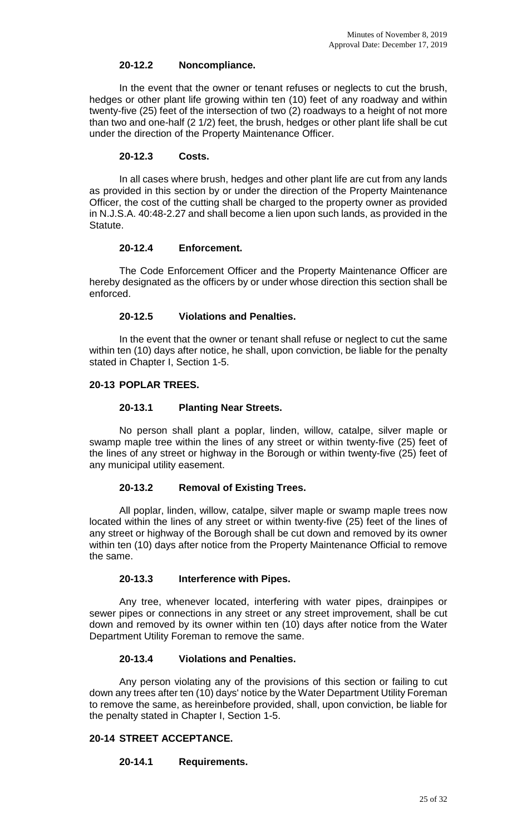### **20-12.2 Noncompliance.**

In the event that the owner or tenant refuses or neglects to cut the brush, hedges or other plant life growing within ten (10) feet of any roadway and within twenty-five (25) feet of the intersection of two (2) roadways to a height of not more than two and one-half (2 1/2) feet, the brush, hedges or other plant life shall be cut under the direction of the Property Maintenance Officer.

### **20-12.3 Costs.**

In all cases where brush, hedges and other plant life are cut from any lands as provided in this section by or under the direction of the Property Maintenance Officer, the cost of the cutting shall be charged to the property owner as provided in N.J.S.A. 40:48-2.27 and shall become a lien upon such lands, as provided in the Statute.

## **20-12.4 Enforcement.**

The Code Enforcement Officer and the Property Maintenance Officer are hereby designated as the officers by or under whose direction this section shall be enforced.

## **20-12.5 Violations and Penalties.**

In the event that the owner or tenant shall refuse or neglect to cut the same within ten (10) days after notice, he shall, upon conviction, be liable for the penalty stated in Chapter I, Section 1-5.

## **20-13 POPLAR TREES.**

## **20-13.1 Planting Near Streets.**

No person shall plant a poplar, linden, willow, catalpe, silver maple or swamp maple tree within the lines of any street or within twenty-five (25) feet of the lines of any street or highway in the Borough or within twenty-five (25) feet of any municipal utility easement.

# **20-13.2 Removal of Existing Trees.**

All poplar, linden, willow, catalpe, silver maple or swamp maple trees now located within the lines of any street or within twenty-five (25) feet of the lines of any street or highway of the Borough shall be cut down and removed by its owner within ten (10) days after notice from the Property Maintenance Official to remove the same.

# **20-13.3 Interference with Pipes.**

Any tree, whenever located, interfering with water pipes, drainpipes or sewer pipes or connections in any street or any street improvement, shall be cut down and removed by its owner within ten (10) days after notice from the Water Department Utility Foreman to remove the same.

# **20-13.4 Violations and Penalties.**

Any person violating any of the provisions of this section or failing to cut down any trees after ten (10) days' notice by the Water Department Utility Foreman to remove the same, as hereinbefore provided, shall, upon conviction, be liable for the penalty stated in Chapter I, Section 1-5.

# **20-14 STREET ACCEPTANCE.**

# **20-14.1 Requirements.**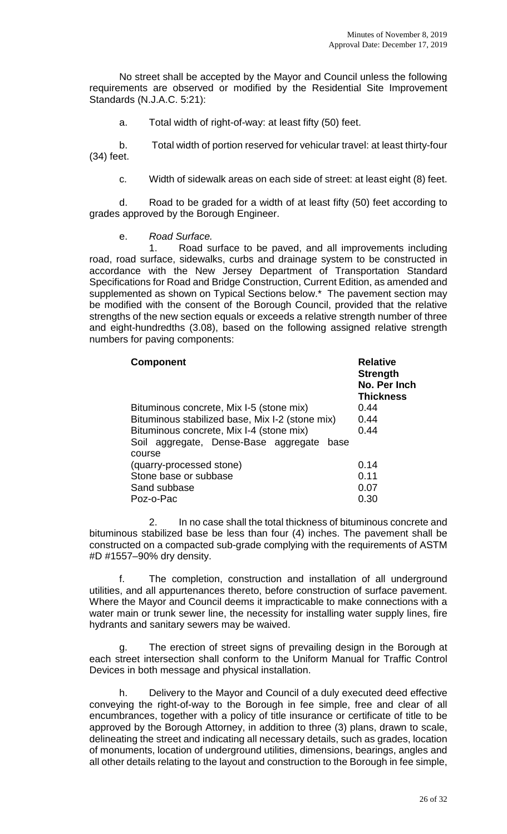No street shall be accepted by the Mayor and Council unless the following requirements are observed or modified by the Residential Site Improvement Standards (N.J.A.C. 5:21):

a. Total width of right-of-way: at least fifty (50) feet.

b. Total width of portion reserved for vehicular travel: at least thirty-four (34) feet.

c. Width of sidewalk areas on each side of street: at least eight (8) feet.

d. Road to be graded for a width of at least fifty (50) feet according to grades approved by the Borough Engineer.

e. *Road Surface.*

1. Road surface to be paved, and all improvements including road, road surface, sidewalks, curbs and drainage system to be constructed in accordance with the New Jersey Department of Transportation Standard Specifications for Road and Bridge Construction, Current Edition, as amended and supplemented as shown on Typical Sections below.\* The pavement section may be modified with the consent of the Borough Council, provided that the relative strengths of the new section equals or exceeds a relative strength number of three and eight-hundredths (3.08), based on the following assigned relative strength numbers for paving components:

| <b>Component</b>                                       | <b>Relative</b><br><b>Strength</b><br>No. Per Inch<br><b>Thickness</b> |
|--------------------------------------------------------|------------------------------------------------------------------------|
| Bituminous concrete, Mix I-5 (stone mix)               | 0.44                                                                   |
| Bituminous stabilized base, Mix I-2 (stone mix)        | 0.44                                                                   |
| Bituminous concrete, Mix I-4 (stone mix)               | 0.44                                                                   |
| Soil aggregate, Dense-Base aggregate<br>base<br>course |                                                                        |
| (quarry-processed stone)                               | 0.14                                                                   |
| Stone base or subbase                                  | 0.11                                                                   |
| Sand subbase                                           | 0.07                                                                   |
| Poz-o-Pac                                              | 0.30                                                                   |

2. In no case shall the total thickness of bituminous concrete and bituminous stabilized base be less than four (4) inches. The pavement shall be constructed on a compacted sub-grade complying with the requirements of ASTM #D #1557–90% dry density.

f. The completion, construction and installation of all underground utilities, and all appurtenances thereto, before construction of surface pavement. Where the Mayor and Council deems it impracticable to make connections with a water main or trunk sewer line, the necessity for installing water supply lines, fire hydrants and sanitary sewers may be waived.

g. The erection of street signs of prevailing design in the Borough at each street intersection shall conform to the Uniform Manual for Traffic Control Devices in both message and physical installation.

h. Delivery to the Mayor and Council of a duly executed deed effective conveying the right-of-way to the Borough in fee simple, free and clear of all encumbrances, together with a policy of title insurance or certificate of title to be approved by the Borough Attorney, in addition to three (3) plans, drawn to scale, delineating the street and indicating all necessary details, such as grades, location of monuments, location of underground utilities, dimensions, bearings, angles and all other details relating to the layout and construction to the Borough in fee simple,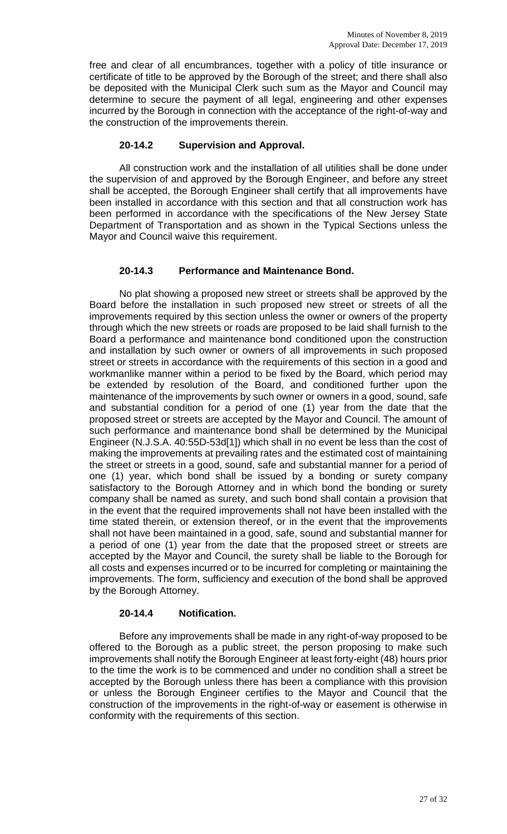free and clear of all encumbrances, together with a policy of title insurance or certificate of title to be approved by the Borough of the street; and there shall also be deposited with the Municipal Clerk such sum as the Mayor and Council may determine to secure the payment of all legal, engineering and other expenses incurred by the Borough in connection with the acceptance of the right-of-way and the construction of the improvements therein.

# **20-14.2 Supervision and Approval.**

All construction work and the installation of all utilities shall be done under the supervision of and approved by the Borough Engineer, and before any street shall be accepted, the Borough Engineer shall certify that all improvements have been installed in accordance with this section and that all construction work has been performed in accordance with the specifications of the New Jersey State Department of Transportation and as shown in the Typical Sections unless the Mayor and Council waive this requirement.

## **20-14.3 Performance and Maintenance Bond.**

No plat showing a proposed new street or streets shall be approved by the Board before the installation in such proposed new street or streets of all the improvements required by this section unless the owner or owners of the property through which the new streets or roads are proposed to be laid shall furnish to the Board a performance and maintenance bond conditioned upon the construction and installation by such owner or owners of all improvements in such proposed street or streets in accordance with the requirements of this section in a good and workmanlike manner within a period to be fixed by the Board, which period may be extended by resolution of the Board, and conditioned further upon the maintenance of the improvements by such owner or owners in a good, sound, safe and substantial condition for a period of one (1) year from the date that the proposed street or streets are accepted by the Mayor and Council. The amount of such performance and maintenance bond shall be determined by the Municipal Engineer (N.J.S.A. 40:55D-53d[1]) which shall in no event be less than the cost of making the improvements at prevailing rates and the estimated cost of maintaining the street or streets in a good, sound, safe and substantial manner for a period of one (1) year, which bond shall be issued by a bonding or surety company satisfactory to the Borough Attorney and in which bond the bonding or surety company shall be named as surety, and such bond shall contain a provision that in the event that the required improvements shall not have been installed with the time stated therein, or extension thereof, or in the event that the improvements shall not have been maintained in a good, safe, sound and substantial manner for a period of one (1) year from the date that the proposed street or streets are accepted by the Mayor and Council, the surety shall be liable to the Borough for all costs and expenses incurred or to be incurred for completing or maintaining the improvements. The form, sufficiency and execution of the bond shall be approved by the Borough Attorney.

### **20-14.4 Notification.**

Before any improvements shall be made in any right-of-way proposed to be offered to the Borough as a public street, the person proposing to make such improvements shall notify the Borough Engineer at least forty-eight (48) hours prior to the time the work is to be commenced and under no condition shall a street be accepted by the Borough unless there has been a compliance with this provision or unless the Borough Engineer certifies to the Mayor and Council that the construction of the improvements in the right-of-way or easement is otherwise in conformity with the requirements of this section.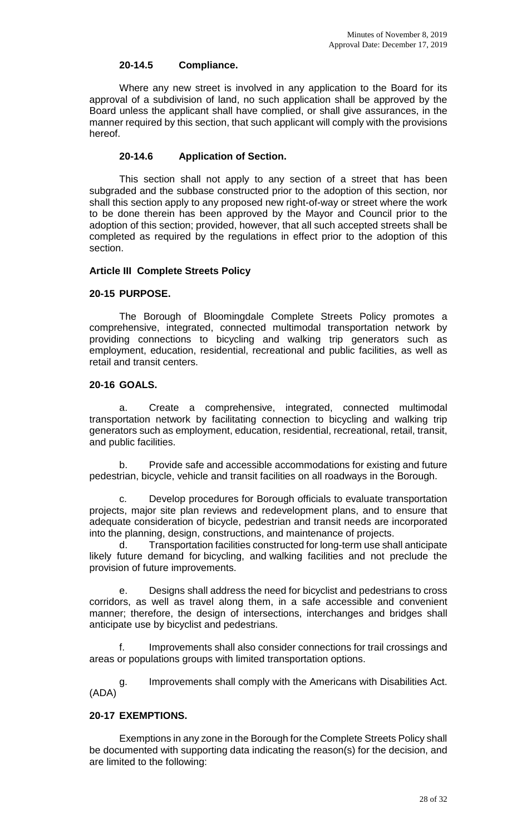### **20-14.5 Compliance.**

Where any new street is involved in any application to the Board for its approval of a subdivision of land, no such application shall be approved by the Board unless the applicant shall have complied, or shall give assurances, in the manner required by this section, that such applicant will comply with the provisions hereof.

# **20-14.6 Application of Section.**

This section shall not apply to any section of a street that has been subgraded and the subbase constructed prior to the adoption of this section, nor shall this section apply to any proposed new right-of-way or street where the work to be done therein has been approved by the Mayor and Council prior to the adoption of this section; provided, however, that all such accepted streets shall be completed as required by the regulations in effect prior to the adoption of this section.

## **Article III Complete Streets Policy**

# **20-15 PURPOSE.**

The Borough of Bloomingdale Complete Streets Policy promotes a comprehensive, integrated, connected multimodal transportation network by providing connections to bicycling and walking trip generators such as employment, education, residential, recreational and public facilities, as well as retail and transit centers.

## **20-16 GOALS.**

a. Create a comprehensive, integrated, connected multimodal transportation network by facilitating connection to bicycling and walking trip generators such as employment, education, residential, recreational, retail, transit, and public facilities.

b. Provide safe and accessible accommodations for existing and future pedestrian, bicycle, vehicle and transit facilities on all roadways in the Borough.

c. Develop procedures for Borough officials to evaluate transportation projects, major site plan reviews and redevelopment plans, and to ensure that adequate consideration of bicycle, pedestrian and transit needs are incorporated into the planning, design, constructions, and maintenance of projects.

d. Transportation facilities constructed for long-term use shall anticipate likely future demand for bicycling, and walking facilities and not preclude the provision of future improvements.

e. Designs shall address the need for bicyclist and pedestrians to cross corridors, as well as travel along them, in a safe accessible and convenient manner; therefore, the design of intersections, interchanges and bridges shall anticipate use by bicyclist and pedestrians.

f. Improvements shall also consider connections for trail crossings and areas or populations groups with limited transportation options.

g. Improvements shall comply with the Americans with Disabilities Act. (ADA)

# **20-17 EXEMPTIONS.**

Exemptions in any zone in the Borough for the Complete Streets Policy shall be documented with supporting data indicating the reason(s) for the decision, and are limited to the following: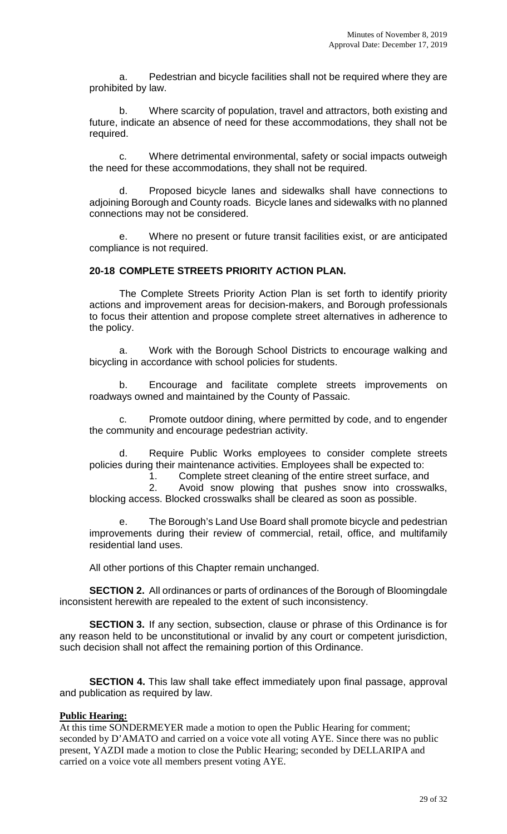a. Pedestrian and bicycle facilities shall not be required where they are prohibited by law.

b. Where scarcity of population, travel and attractors, both existing and future, indicate an absence of need for these accommodations, they shall not be required.

c. Where detrimental environmental, safety or social impacts outweigh the need for these accommodations, they shall not be required.

d. Proposed bicycle lanes and sidewalks shall have connections to adjoining Borough and County roads. Bicycle lanes and sidewalks with no planned connections may not be considered.

e. Where no present or future transit facilities exist, or are anticipated compliance is not required.

# **20-18 COMPLETE STREETS PRIORITY ACTION PLAN.**

The Complete Streets Priority Action Plan is set forth to identify priority actions and improvement areas for decision-makers, and Borough professionals to focus their attention and propose complete street alternatives in adherence to the policy.

a. Work with the Borough School Districts to encourage walking and bicycling in accordance with school policies for students.

b. Encourage and facilitate complete streets improvements on roadways owned and maintained by the County of Passaic.

Promote outdoor dining, where permitted by code, and to engender the community and encourage pedestrian activity.

d. Require Public Works employees to consider complete streets policies during their maintenance activities. Employees shall be expected to:

1. Complete street cleaning of the entire street surface, and

2. Avoid snow plowing that pushes snow into crosswalks, blocking access. Blocked crosswalks shall be cleared as soon as possible.

The Borough's Land Use Board shall promote bicycle and pedestrian improvements during their review of commercial, retail, office, and multifamily residential land uses.

All other portions of this Chapter remain unchanged.

**SECTION 2.** All ordinances or parts of ordinances of the Borough of Bloomingdale inconsistent herewith are repealed to the extent of such inconsistency.

**SECTION 3.** If any section, subsection, clause or phrase of this Ordinance is for any reason held to be unconstitutional or invalid by any court or competent jurisdiction, such decision shall not affect the remaining portion of this Ordinance.

**SECTION 4.** This law shall take effect immediately upon final passage, approval and publication as required by law.

### **Public Hearing:**

At this time SONDERMEYER made a motion to open the Public Hearing for comment; seconded by D'AMATO and carried on a voice vote all voting AYE. Since there was no public present, YAZDI made a motion to close the Public Hearing; seconded by DELLARIPA and carried on a voice vote all members present voting AYE.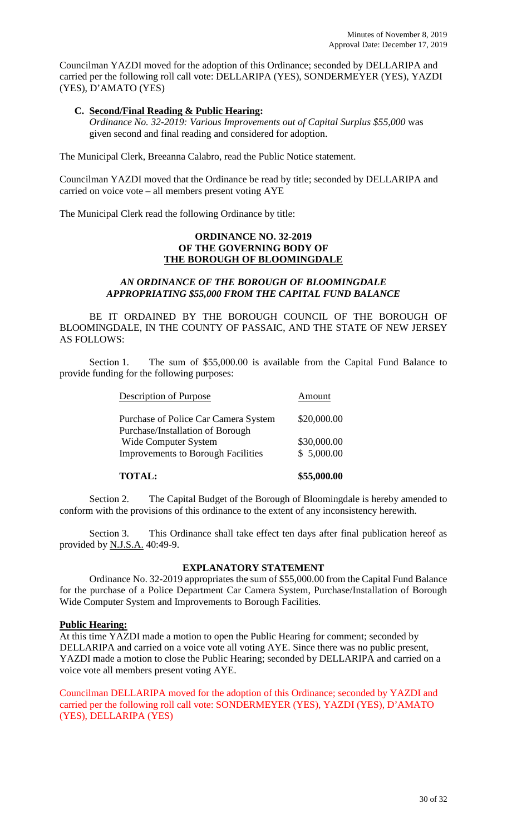Councilman YAZDI moved for the adoption of this Ordinance; seconded by DELLARIPA and carried per the following roll call vote: DELLARIPA (YES), SONDERMEYER (YES), YAZDI (YES), D'AMATO (YES)

### **C. Second/Final Reading & Public Hearing:**

*Ordinance No. 32-2019: Various Improvements out of Capital Surplus \$55,000* was given second and final reading and considered for adoption.

The Municipal Clerk, Breeanna Calabro, read the Public Notice statement.

Councilman YAZDI moved that the Ordinance be read by title; seconded by DELLARIPA and carried on voice vote – all members present voting AYE

The Municipal Clerk read the following Ordinance by title:

### **ORDINANCE NO. 32-2019 OF THE GOVERNING BODY OF THE BOROUGH OF BLOOMINGDALE**

## *AN ORDINANCE OF THE BOROUGH OF BLOOMINGDALE APPROPRIATING \$55,000 FROM THE CAPITAL FUND BALANCE*

BE IT ORDAINED BY THE BOROUGH COUNCIL OF THE BOROUGH OF BLOOMINGDALE, IN THE COUNTY OF PASSAIC, AND THE STATE OF NEW JERSEY AS FOLLOWS:

Section 1. The sum of \$55,000.00 is available from the Capital Fund Balance to provide funding for the following purposes:

| <b>TOTAL:</b>                                                            | \$55,000.00 |
|--------------------------------------------------------------------------|-------------|
| <b>Improvements to Borough Facilities</b>                                | \$5,000.00  |
| Wide Computer System                                                     | \$30,000.00 |
| Purchase of Police Car Camera System<br>Purchase/Installation of Borough | \$20,000.00 |
| <b>Description of Purpose</b>                                            | Amount      |

Section 2. The Capital Budget of the Borough of Bloomingdale is hereby amended to conform with the provisions of this ordinance to the extent of any inconsistency herewith.

Section 3. This Ordinance shall take effect ten days after final publication hereof as provided by N.J.S.A. 40:49-9.

### **EXPLANATORY STATEMENT**

Ordinance No. 32-2019 appropriates the sum of \$55,000.00 from the Capital Fund Balance for the purchase of a Police Department Car Camera System, Purchase/Installation of Borough Wide Computer System and Improvements to Borough Facilities.

### **Public Hearing:**

At this time YAZDI made a motion to open the Public Hearing for comment; seconded by DELLARIPA and carried on a voice vote all voting AYE. Since there was no public present, YAZDI made a motion to close the Public Hearing; seconded by DELLARIPA and carried on a voice vote all members present voting AYE.

Councilman DELLARIPA moved for the adoption of this Ordinance; seconded by YAZDI and carried per the following roll call vote: SONDERMEYER (YES), YAZDI (YES), D'AMATO (YES), DELLARIPA (YES)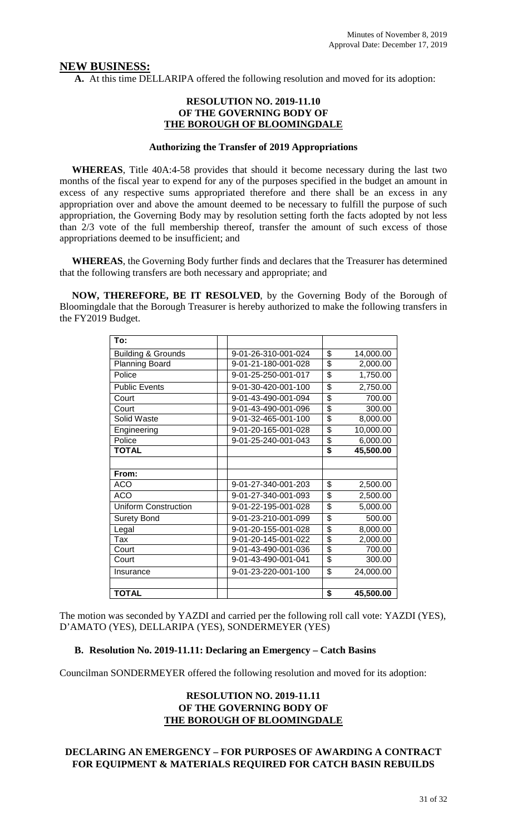### **NEW BUSINESS:**

**A.** At this time DELLARIPA offered the following resolution and moved for its adoption:

### **RESOLUTION NO. 2019-11.10 OF THE GOVERNING BODY OF THE BOROUGH OF BLOOMINGDALE**

#### **Authorizing the Transfer of 2019 Appropriations**

 **WHEREAS**, Title 40A:4-58 provides that should it become necessary during the last two months of the fiscal year to expend for any of the purposes specified in the budget an amount in excess of any respective sums appropriated therefore and there shall be an excess in any appropriation over and above the amount deemed to be necessary to fulfill the purpose of such appropriation, the Governing Body may by resolution setting forth the facts adopted by not less than 2/3 vote of the full membership thereof, transfer the amount of such excess of those appropriations deemed to be insufficient; and

 **WHEREAS**, the Governing Body further finds and declares that the Treasurer has determined that the following transfers are both necessary and appropriate; and

 **NOW, THEREFORE, BE IT RESOLVED**, by the Governing Body of the Borough of Bloomingdale that the Borough Treasurer is hereby authorized to make the following transfers in the FY2019 Budget.

| To:                           |                     |                         |           |
|-------------------------------|---------------------|-------------------------|-----------|
| <b>Building &amp; Grounds</b> | 9-01-26-310-001-024 | \$                      | 14,000.00 |
| <b>Planning Board</b>         | 9-01-21-180-001-028 | \$                      | 2,000.00  |
| Police                        | 9-01-25-250-001-017 | \$                      | 1,750.00  |
| <b>Public Events</b>          | 9-01-30-420-001-100 | \$                      | 2,750.00  |
| Court                         | 9-01-43-490-001-094 | \$                      | 700.00    |
| Court                         | 9-01-43-490-001-096 | \$                      | 300.00    |
| Solid Waste                   | 9-01-32-465-001-100 | \$                      | 8,000.00  |
| Engineering                   | 9-01-20-165-001-028 | \$                      | 10,000.00 |
| Police                        | 9-01-25-240-001-043 | \$                      | 6,000.00  |
| <b>TOTAL</b>                  |                     | \$                      | 45,500.00 |
|                               |                     |                         |           |
| From:                         |                     |                         |           |
| <b>ACO</b>                    | 9-01-27-340-001-203 | \$                      | 2,500.00  |
| <b>ACO</b>                    | 9-01-27-340-001-093 | \$                      | 2,500.00  |
| <b>Uniform Construction</b>   | 9-01-22-195-001-028 | \$                      | 5,000.00  |
| <b>Surety Bond</b>            | 9-01-23-210-001-099 | $\overline{\mathbf{S}}$ | 500.00    |
| Legal                         | 9-01-20-155-001-028 | \$                      | 8,000.00  |
| Tax                           | 9-01-20-145-001-022 | \$                      | 2,000.00  |
| Court                         | 9-01-43-490-001-036 | \$                      | 700.00    |
| Court                         | 9-01-43-490-001-041 | \$                      | 300.00    |
| Insurance                     | 9-01-23-220-001-100 | \$                      | 24,000.00 |
|                               |                     |                         |           |
| <b>TOTAL</b>                  |                     | \$                      | 45,500.00 |

The motion was seconded by YAZDI and carried per the following roll call vote: YAZDI (YES), D'AMATO (YES), DELLARIPA (YES), SONDERMEYER (YES)

### **B. Resolution No. 2019-11.11: Declaring an Emergency – Catch Basins**

Councilman SONDERMEYER offered the following resolution and moved for its adoption:

# **RESOLUTION NO. 2019-11.11 OF THE GOVERNING BODY OF THE BOROUGH OF BLOOMINGDALE**

# **DECLARING AN EMERGENCY – FOR PURPOSES OF AWARDING A CONTRACT FOR EQUIPMENT & MATERIALS REQUIRED FOR CATCH BASIN REBUILDS**